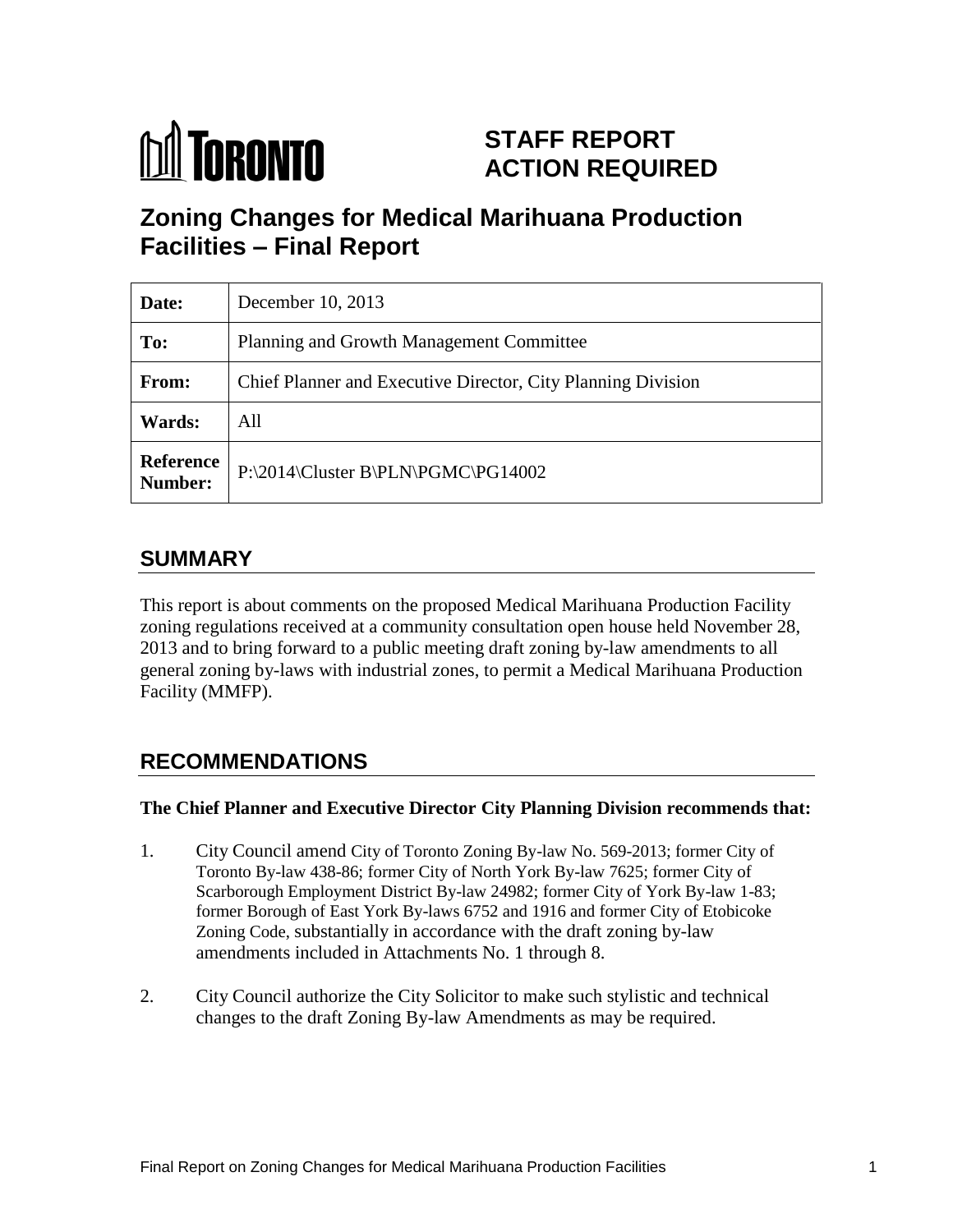

# **STAFF REPORT ACTION REQUIRED**

# **Zoning Changes for Medical Marihuana Production Facilities – Final Report**

| Date:                       | December 10, 2013                                            |
|-----------------------------|--------------------------------------------------------------|
| To:                         | Planning and Growth Management Committee                     |
| From:                       | Chief Planner and Executive Director, City Planning Division |
| Wards:                      | All                                                          |
| <b>Reference</b><br>Number: | P:\2014\Cluster B\PLN\PGMC\PG14002                           |

# **SUMMARY**

This report is about comments on the proposed Medical Marihuana Production Facility zoning regulations received at a community consultation open house held November 28, 2013 and to bring forward to a public meeting draft zoning by-law amendments to all general zoning by-laws with industrial zones, to permit a Medical Marihuana Production Facility (MMFP).

# **RECOMMENDATIONS**

# **The Chief Planner and Executive Director City Planning Division recommends that:**

- 1. City Council amend City of Toronto Zoning By-law No. 569-2013; former City of Toronto By-law 438-86; former City of North York By-law 7625; former City of Scarborough Employment District By-law 24982; former City of York By-law 1-83; former Borough of East York By-laws 6752 and 1916 and former City of Etobicoke Zoning Code, substantially in accordance with the draft zoning by-law amendments included in Attachments No. 1 through 8.
- 2. City Council authorize the City Solicitor to make such stylistic and technical changes to the draft Zoning By-law Amendments as may be required.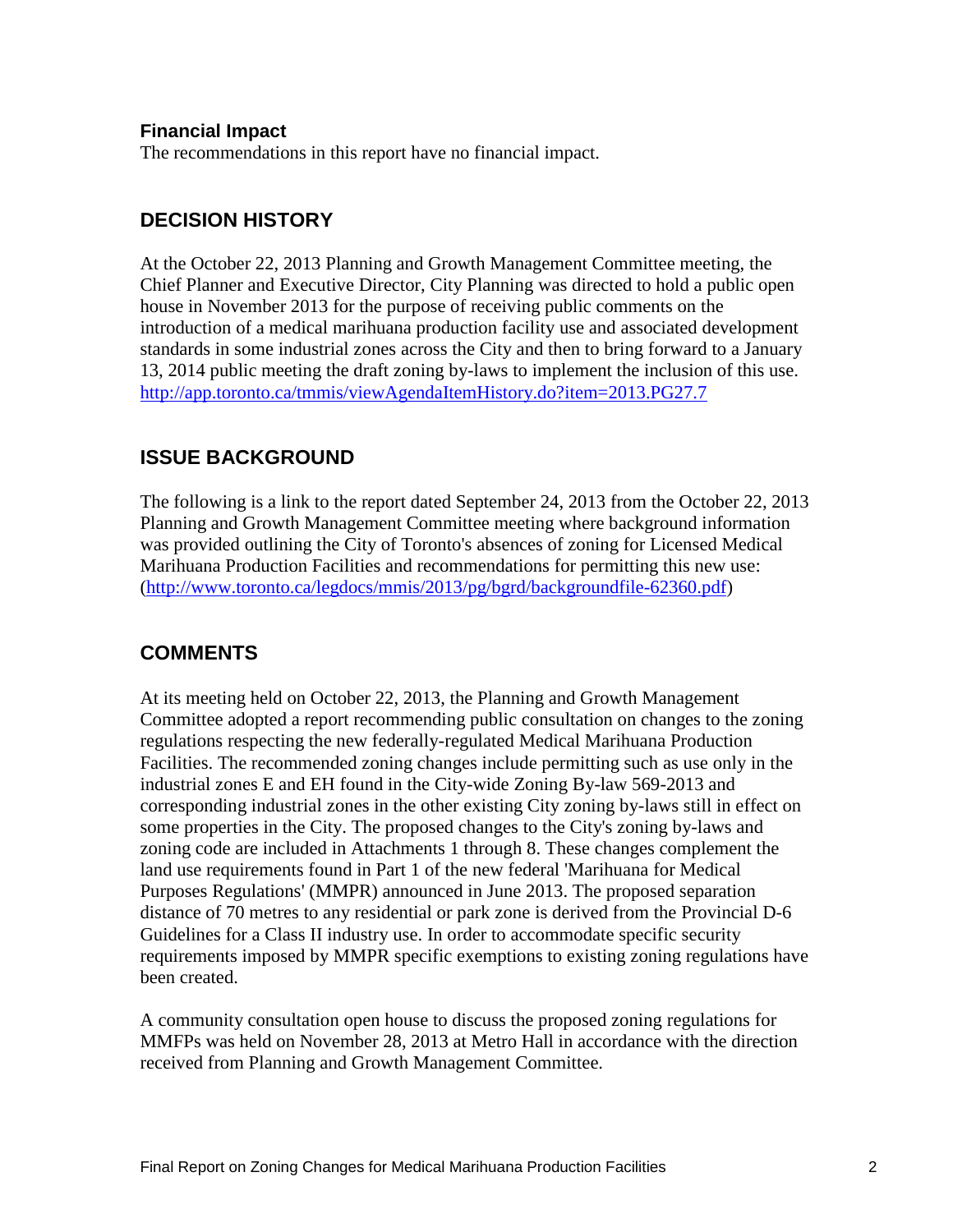# **Financial Impact**

The recommendations in this report have no financial impact.

# **DECISION HISTORY**

At the October 22, 2013 Planning and Growth Management Committee meeting, the Chief Planner and Executive Director, City Planning was directed to hold a public open house in November 2013 for the purpose of receiving public comments on the introduction of a medical marihuana production facility use and associated development standards in some industrial zones across the City and then to bring forward to a January 13, 2014 public meeting the draft zoning by-laws to implement the inclusion of this use. <http://app.toronto.ca/tmmis/viewAgendaItemHistory.do?item=2013.PG27.7>

# **ISSUE BACKGROUND**

The following is a link to the report dated September 24, 2013 from the October 22, 2013 Planning and Growth Management Committee meeting where background information was provided outlining the City of Toronto's absences of zoning for Licensed Medical Marihuana Production Facilities and recommendations for permitting this new use: [\(http://www.toronto.ca/legdocs/mmis/2013/pg/bgrd/backgroundfile-62360.pdf\)](http://www.toronto.ca/legdocs/mmis/2013/pg/bgrd/backgroundfile-62360.pdf)

# **COMMENTS**

At its meeting held on October 22, 2013, the Planning and Growth Management Committee adopted a report recommending public consultation on changes to the zoning regulations respecting the new federally-regulated Medical Marihuana Production Facilities. The recommended zoning changes include permitting such as use only in the industrial zones E and EH found in the City-wide Zoning By-law 569-2013 and corresponding industrial zones in the other existing City zoning by-laws still in effect on some properties in the City. The proposed changes to the City's zoning by-laws and zoning code are included in Attachments 1 through 8. These changes complement the land use requirements found in Part 1 of the new federal 'Marihuana for Medical Purposes Regulations' (MMPR) announced in June 2013. The proposed separation distance of 70 metres to any residential or park zone is derived from the Provincial D-6 Guidelines for a Class II industry use. In order to accommodate specific security requirements imposed by MMPR specific exemptions to existing zoning regulations have been created.

A community consultation open house to discuss the proposed zoning regulations for MMFPs was held on November 28, 2013 at Metro Hall in accordance with the direction received from Planning and Growth Management Committee.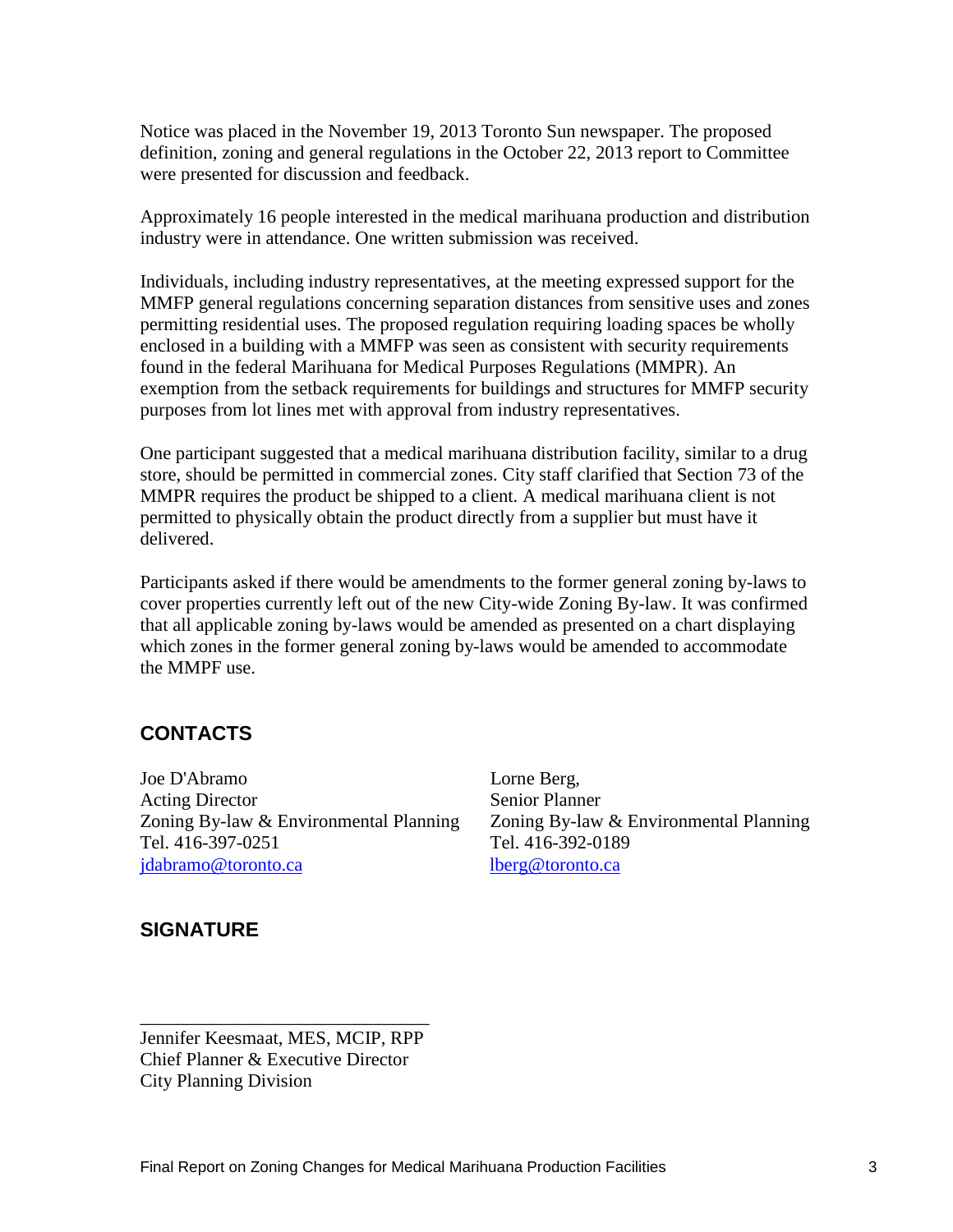Notice was placed in the November 19, 2013 Toronto Sun newspaper. The proposed definition, zoning and general regulations in the October 22, 2013 report to Committee were presented for discussion and feedback.

Approximately 16 people interested in the medical marihuana production and distribution industry were in attendance. One written submission was received.

Individuals, including industry representatives, at the meeting expressed support for the MMFP general regulations concerning separation distances from sensitive uses and zones permitting residential uses. The proposed regulation requiring loading spaces be wholly enclosed in a building with a MMFP was seen as consistent with security requirements found in the federal Marihuana for Medical Purposes Regulations (MMPR). An exemption from the setback requirements for buildings and structures for MMFP security purposes from lot lines met with approval from industry representatives.

One participant suggested that a medical marihuana distribution facility, similar to a drug store, should be permitted in commercial zones. City staff clarified that Section 73 of the MMPR requires the product be shipped to a client. A medical marihuana client is not permitted to physically obtain the product directly from a supplier but must have it delivered.

Participants asked if there would be amendments to the former general zoning by-laws to cover properties currently left out of the new City-wide Zoning By-law. It was confirmed that all applicable zoning by-laws would be amended as presented on a chart displaying which zones in the former general zoning by-laws would be amended to accommodate the MMPF use.

# **CONTACTS**

Joe D'Abramo Lorne Berg, Acting Director Senior Planner Zoning By-law & Environmental Planning Zoning By-law & Environmental Planning Tel. 416-397-0251 Tel. 416-392-0189 [jdabramo@toronto.ca](mailto:jdabramo@toronto.ca) [lberg@toronto.ca](mailto:lberg@toronto.ca)

# **SIGNATURE**

Jennifer Keesmaat, MES, MCIP, RPP Chief Planner & Executive Director City Planning Division

\_\_\_\_\_\_\_\_\_\_\_\_\_\_\_\_\_\_\_\_\_\_\_\_\_\_\_\_\_\_\_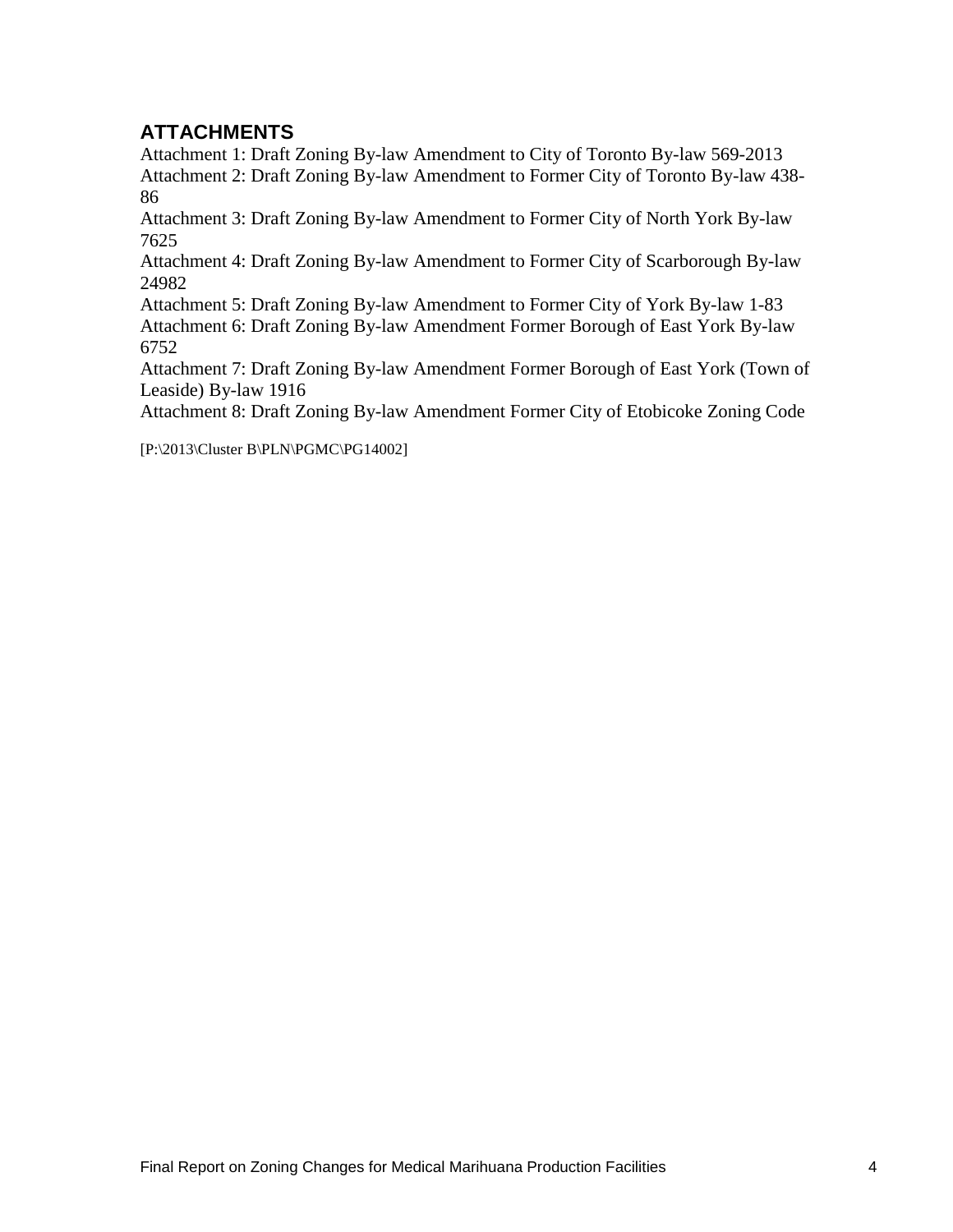# **ATTACHMENTS**

Attachment 1: Draft Zoning By-law Amendment to City of Toronto By-law 569-2013 Attachment 2: Draft Zoning By-law Amendment to Former City of Toronto By-law 438- 86

Attachment 3: Draft Zoning By-law Amendment to Former City of North York By-law 7625

Attachment 4: Draft Zoning By-law Amendment to Former City of Scarborough By-law 24982

Attachment 5: Draft Zoning By-law Amendment to Former City of York By-law 1-83 Attachment 6: Draft Zoning By-law Amendment Former Borough of East York By-law 6752

Attachment 7: Draft Zoning By-law Amendment Former Borough of East York (Town of Leaside) By-law 1916

Attachment 8: Draft Zoning By-law Amendment Former City of Etobicoke Zoning Code

[P:\2013\Cluster B\PLN\PGMC\PG14002]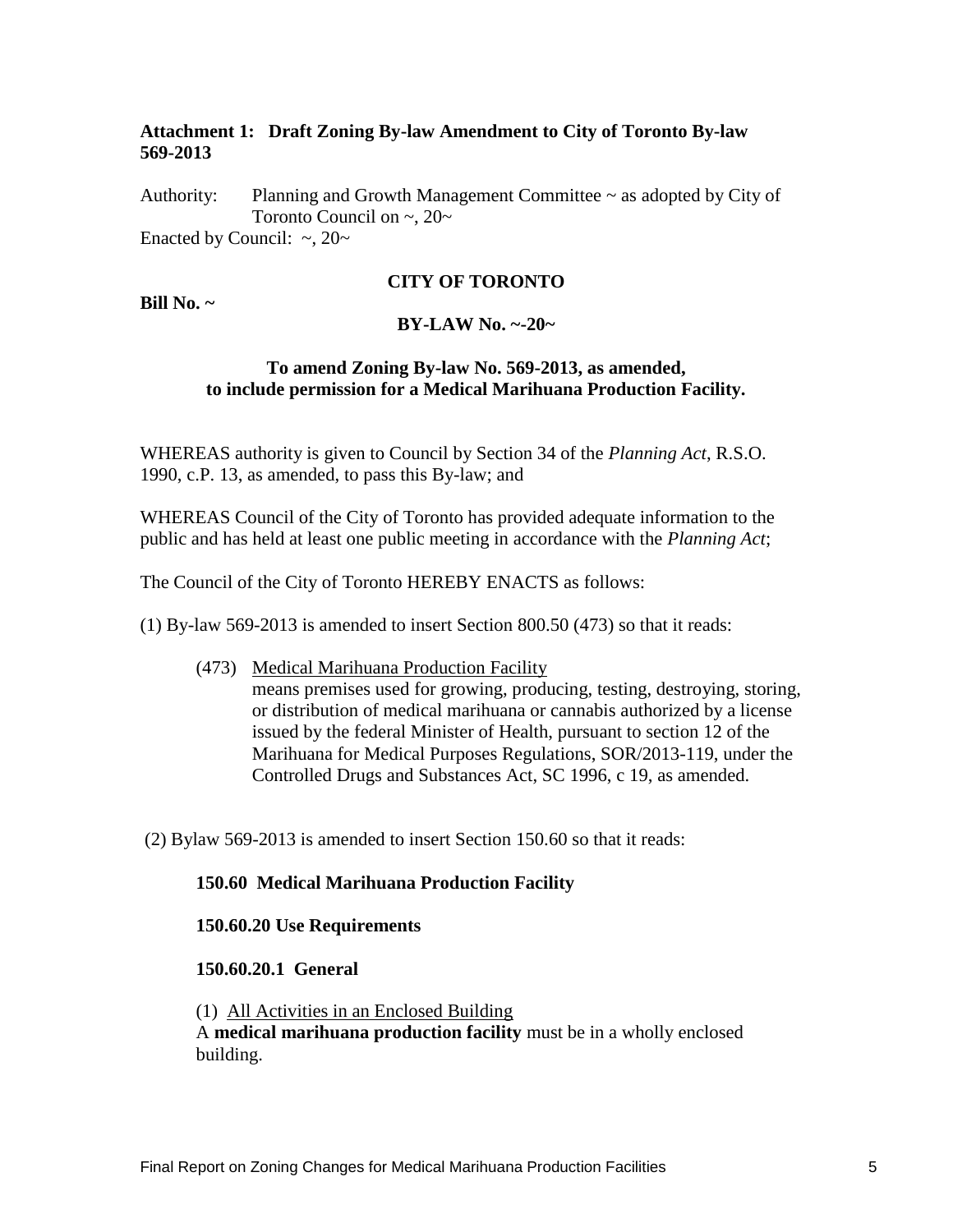## **Attachment 1: Draft Zoning By-law Amendment to City of Toronto By-law 569-2013**

Authority: Planning and Growth Management Committee ~ as adopted by City of Toronto Council on  $\sim$ , 20 $\sim$ Enacted by Council:  $\sim$ , 20 $\sim$ 

#### **CITY OF TORONTO**

#### **Bill No. ~**

#### **BY-LAW No. ~-20~**

#### **To amend Zoning By-law No. 569-2013, as amended, to include permission for a Medical Marihuana Production Facility.**

WHEREAS authority is given to Council by Section 34 of the *Planning Act*, R.S.O. 1990, c.P. 13, as amended, to pass this By-law; and

WHEREAS Council of the City of Toronto has provided adequate information to the public and has held at least one public meeting in accordance with the *Planning Act*;

The Council of the City of Toronto HEREBY ENACTS as follows:

 $(1)$  By-law 569-2013 is amended to insert Section 800.50 (473) so that it reads:

(473) Medical Marihuana Production Facility

means premises used for growing, producing, testing, destroying, storing, or distribution of medical marihuana or cannabis authorized by a license issued by the federal Minister of Health, pursuant to section 12 of the Marihuana for Medical Purposes Regulations, SOR/2013-119, under the Controlled Drugs and Substances Act, SC 1996, c 19, as amended.

(2) Bylaw 569-2013 is amended to insert Section 150.60 so that it reads:

#### **150.60 Medical Marihuana Production Facility**

#### **150.60.20 Use Requirements**

#### **150.60.20.1 General**

(1) All Activities in an Enclosed Building

A **medical marihuana production facility** must be in a wholly enclosed building.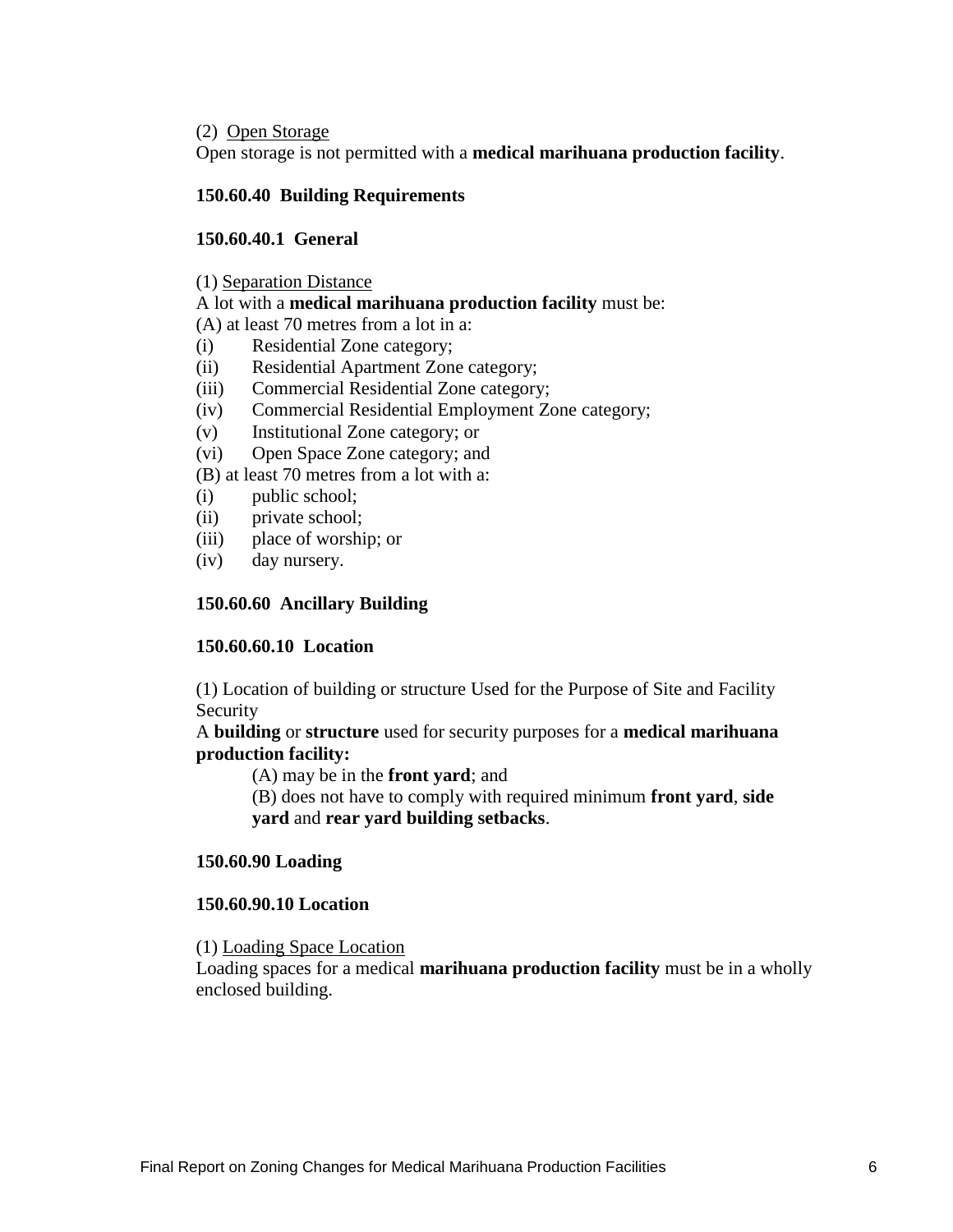(2) Open Storage

Open storage is not permitted with a **medical marihuana production facility**.

#### **150.60.40 Building Requirements**

#### **150.60.40.1 General**

(1) Separation Distance

#### A lot with a **medical marihuana production facility** must be:

(A) at least 70 metres from a lot in a:

- (i) Residential Zone category;
- (ii) Residential Apartment Zone category;
- (iii) Commercial Residential Zone category;
- (iv) Commercial Residential Employment Zone category;
- (v) Institutional Zone category; or
- (vi) Open Space Zone category; and

(B) at least 70 metres from a lot with a:

- (i) public school;
- (ii) private school;
- (iii) place of worship; or
- (iv) day nursery.

## **150.60.60 Ancillary Building**

#### **150.60.60.10 Location**

(1) Location of building or structure Used for the Purpose of Site and Facility Security

A **building** or **structure** used for security purposes for a **medical marihuana production facility:**

(A) may be in the **front yard**; and

(B) does not have to comply with required minimum **front yard**, **side yard** and **rear yard building setbacks**.

#### **150.60.90 Loading**

#### **150.60.90.10 Location**

#### (1) Loading Space Location

Loading spaces for a medical **marihuana production facility** must be in a wholly enclosed building.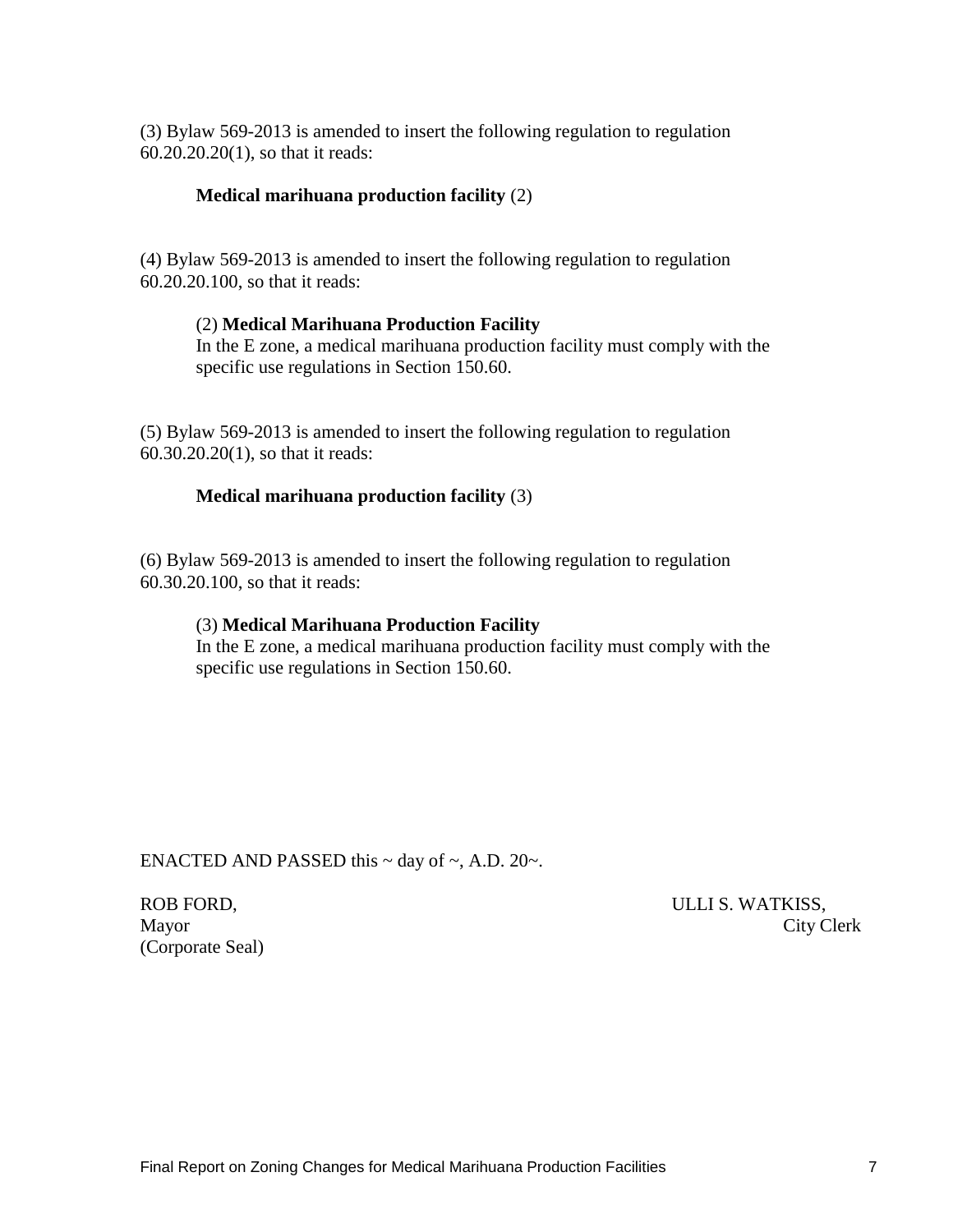(3) Bylaw 569-2013 is amended to insert the following regulation to regulation 60.20.20.20(1), so that it reads:

#### **Medical marihuana production facility** (2)

(4) Bylaw 569-2013 is amended to insert the following regulation to regulation 60.20.20.100, so that it reads:

#### (2) **Medical Marihuana Production Facility**

In the E zone, a medical marihuana production facility must comply with the specific use regulations in Section 150.60.

(5) Bylaw 569-2013 is amended to insert the following regulation to regulation 60.30.20.20(1), so that it reads:

## **Medical marihuana production facility** (3)

(6) Bylaw 569-2013 is amended to insert the following regulation to regulation 60.30.20.100, so that it reads:

#### (3) **Medical Marihuana Production Facility**

In the E zone, a medical marihuana production facility must comply with the specific use regulations in Section 150.60.

ENACTED AND PASSED this  $\sim$  day of  $\sim$ , A.D. 20 $\sim$ .

(Corporate Seal)

ROB FORD, THE SECOND SECOND SECOND SECOND SECOND SECOND SECOND SECOND SECOND SECOND SECOND SECOND SECOND SECOND SECOND SECOND SECOND SECOND SECOND SECOND SECOND SECOND SECOND SECOND SECOND SECOND SECOND SECOND SECOND SECON Mayor City Clerk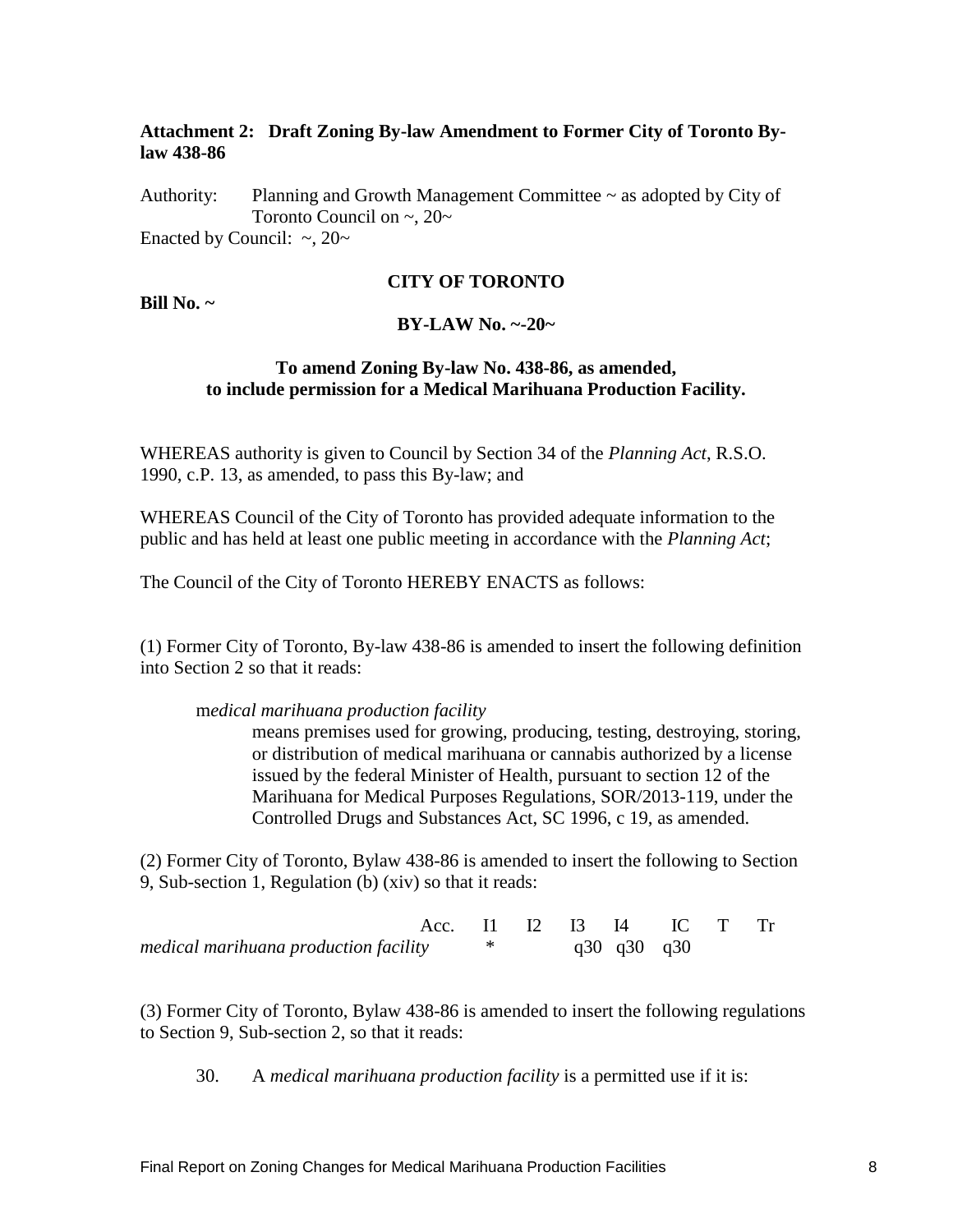# **Attachment 2: Draft Zoning By-law Amendment to Former City of Toronto Bylaw 438-86**

Authority: Planning and Growth Management Committee ~ as adopted by City of Toronto Council on  $\sim$ , 20 $\sim$ Enacted by Council:  $\sim$ , 20 $\sim$ 

#### **CITY OF TORONTO**

## **Bill No. ~**

#### **BY-LAW No. ~-20~**

#### **To amend Zoning By-law No. 438-86, as amended, to include permission for a Medical Marihuana Production Facility.**

WHEREAS authority is given to Council by Section 34 of the *Planning Act*, R.S.O. 1990, c.P. 13, as amended, to pass this By-law; and

WHEREAS Council of the City of Toronto has provided adequate information to the public and has held at least one public meeting in accordance with the *Planning Act*;

The Council of the City of Toronto HEREBY ENACTS as follows:

(1) Former City of Toronto, By-law 438-86 is amended to insert the following definition into Section 2 so that it reads:

m*edical marihuana production facility*

means premises used for growing, producing, testing, destroying, storing, or distribution of medical marihuana or cannabis authorized by a license issued by the federal Minister of Health, pursuant to section 12 of the Marihuana for Medical Purposes Regulations, SOR/2013-119, under the Controlled Drugs and Substances Act, SC 1996, c 19, as amended.

(2) Former City of Toronto, Bylaw 438-86 is amended to insert the following to Section 9, Sub-section 1, Regulation (b) (xiv) so that it reads:

|                                       |  | Acc. I II 2 I3 I4 IC T Tr |  |  |
|---------------------------------------|--|---------------------------|--|--|
| medical marihuana production facility |  | q30 q30 q30               |  |  |

(3) Former City of Toronto, Bylaw 438-86 is amended to insert the following regulations to Section 9, Sub-section 2, so that it reads:

30. A *medical marihuana production facility* is a permitted use if it is: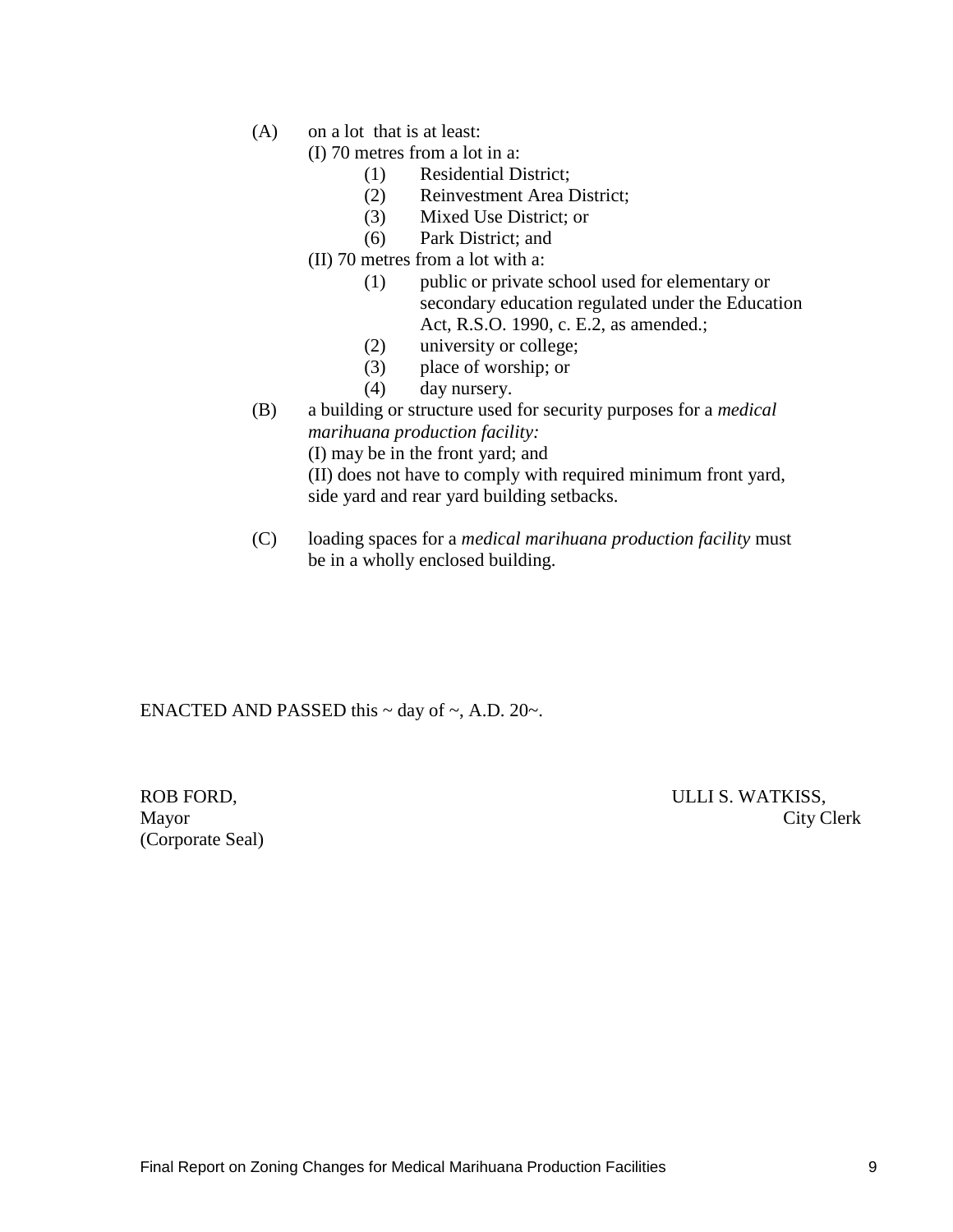- (A) on a lot that is at least:
	- (I) 70 metres from a lot in a:
		- (1) Residential District;
		- (2) Reinvestment Area District;
		- (3) Mixed Use District; or
		- (6) Park District; and
	- (II) 70 metres from a lot with a:
		- (1) public or private school used for elementary or secondary education regulated under the Education Act, R.S.O. 1990, c. E.2, as amended.;
		- (2) university or college;
		- (3) place of worship; or
		- (4) day nursery.
- (B) a building or structure used for security purposes for a *medical marihuana production facility:* (I) may be in the front yard; and

(II) does not have to comply with required minimum front yard, side yard and rear yard building setbacks.

(C) loading spaces for a *medical marihuana production facility* must be in a wholly enclosed building.

ENACTED AND PASSED this  $\sim$  day of  $\sim$ , A.D. 20 $\sim$ .

(Corporate Seal)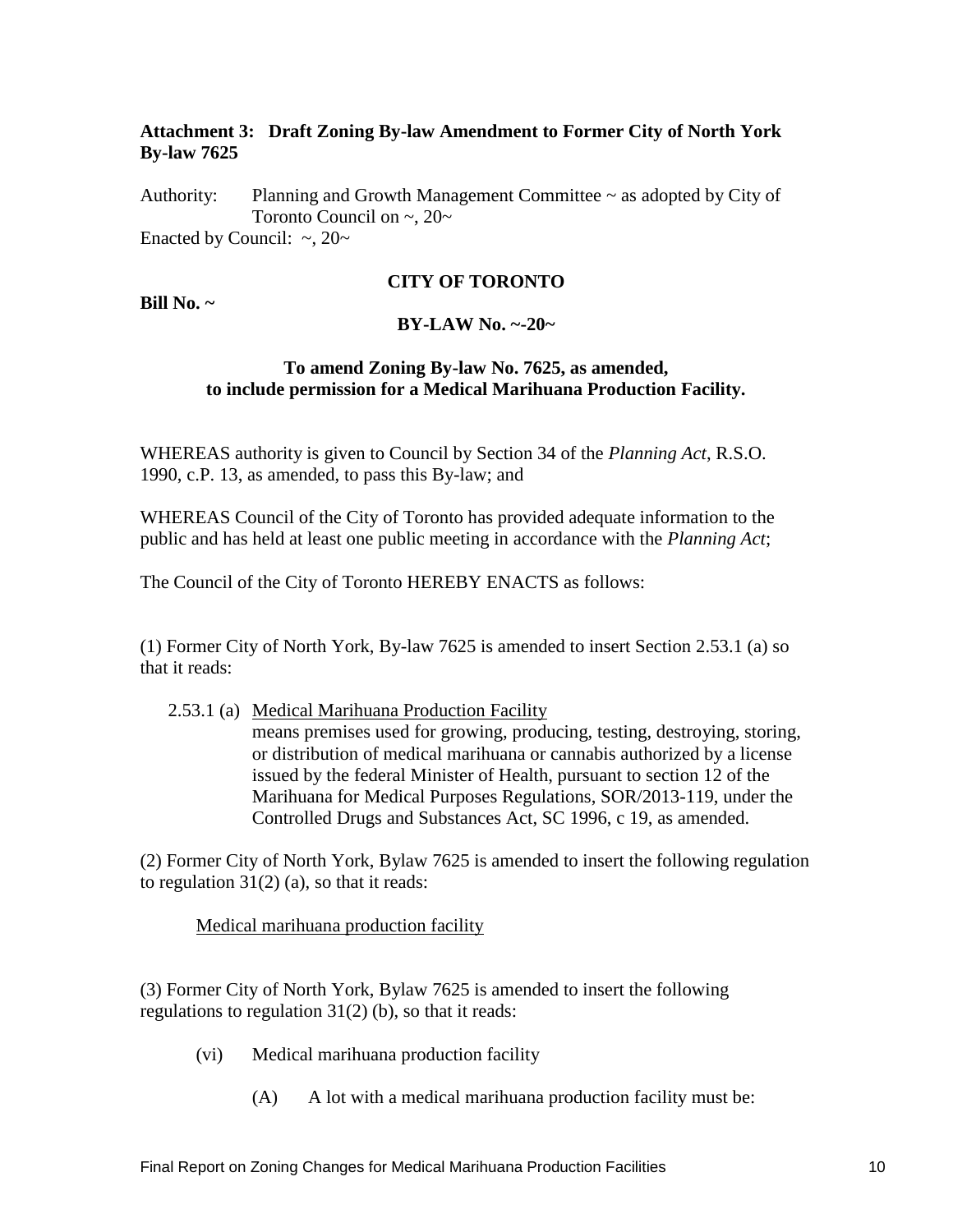# **Attachment 3: Draft Zoning By-law Amendment to Former City of North York By-law 7625**

Authority: Planning and Growth Management Committee ~ as adopted by City of Toronto Council on  $\sim$ , 20 $\sim$ Enacted by Council:  $\sim$ , 20 $\sim$ 

### **CITY OF TORONTO**

#### **Bill No. ~**

#### **BY-LAW No. ~-20~**

### **To amend Zoning By-law No. 7625, as amended, to include permission for a Medical Marihuana Production Facility.**

WHEREAS authority is given to Council by Section 34 of the *Planning Act*, R.S.O. 1990, c.P. 13, as amended, to pass this By-law; and

WHEREAS Council of the City of Toronto has provided adequate information to the public and has held at least one public meeting in accordance with the *Planning Act*;

The Council of the City of Toronto HEREBY ENACTS as follows:

(1) Former City of North York, By-law 7625 is amended to insert Section 2.53.1 (a) so that it reads:

2.53.1 (a) Medical Marihuana Production Facility means premises used for growing, producing, testing, destroying, storing, or distribution of medical marihuana or cannabis authorized by a license issued by the federal Minister of Health, pursuant to section 12 of the Marihuana for Medical Purposes Regulations, SOR/2013-119, under the Controlled Drugs and Substances Act, SC 1996, c 19, as amended.

(2) Former City of North York, Bylaw 7625 is amended to insert the following regulation to regulation  $31(2)$  (a), so that it reads:

Medical marihuana production facility

(3) Former City of North York, Bylaw 7625 is amended to insert the following regulations to regulation  $31(2)$  (b), so that it reads:

- (vi) Medical marihuana production facility
	- (A) A lot with a medical marihuana production facility must be: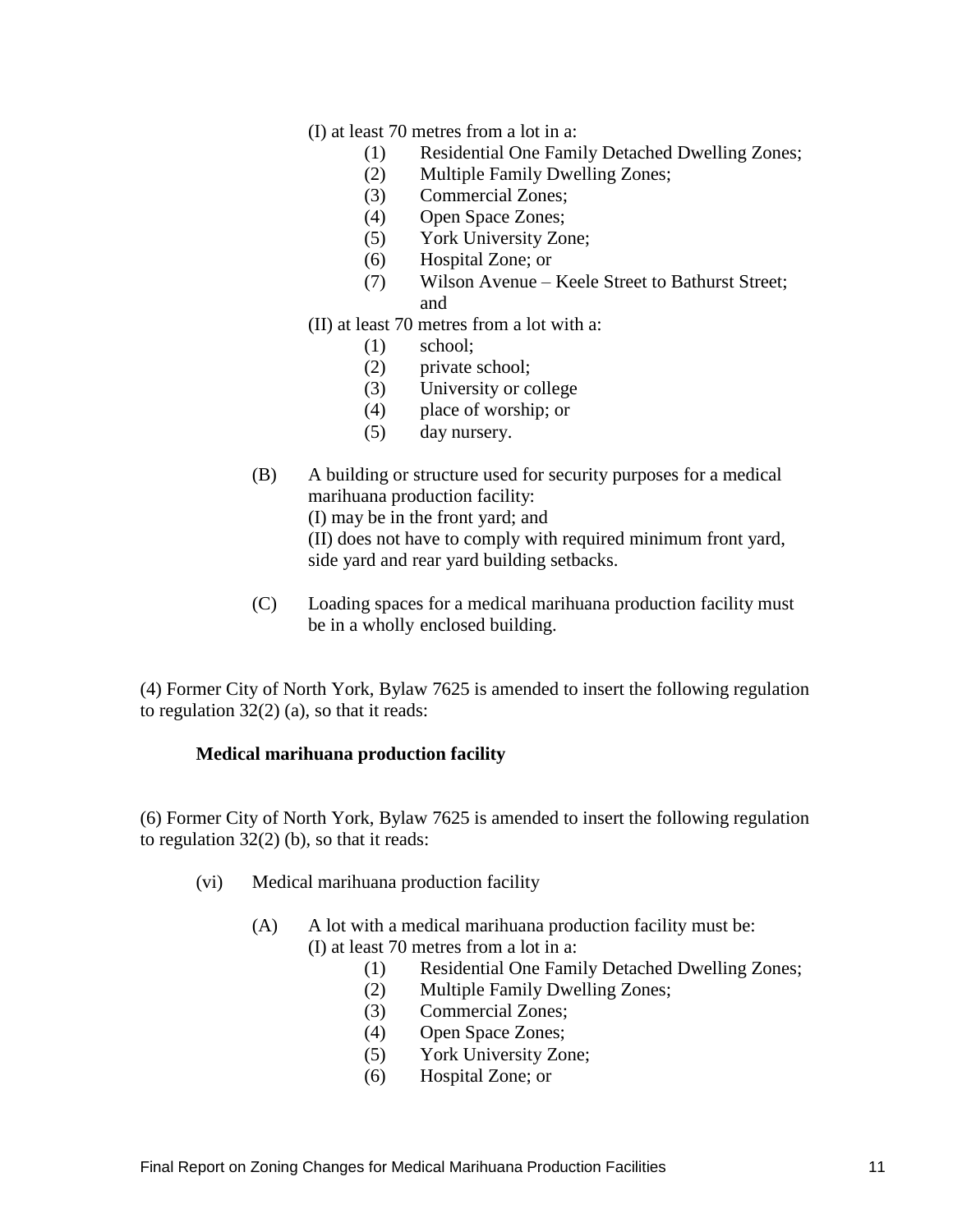(I) at least 70 metres from a lot in a:

- (1) Residential One Family Detached Dwelling Zones;
- (2) Multiple Family Dwelling Zones;
- (3) Commercial Zones;
- (4) Open Space Zones;
- (5) York University Zone;
- (6) Hospital Zone; or
- (7) Wilson Avenue Keele Street to Bathurst Street; and
- (II) at least 70 metres from a lot with a:
	- (1) school;
	- (2) private school;
	- (3) University or college
	- (4) place of worship; or
	- (5) day nursery.
- (B) A building or structure used for security purposes for a medical marihuana production facility: (I) may be in the front yard; and (II) does not have to comply with required minimum front yard, side yard and rear yard building setbacks.
- (C) Loading spaces for a medical marihuana production facility must be in a wholly enclosed building.

(4) Former City of North York, Bylaw 7625 is amended to insert the following regulation to regulation  $32(2)$  (a), so that it reads:

#### **Medical marihuana production facility**

(6) Former City of North York, Bylaw 7625 is amended to insert the following regulation to regulation  $32(2)$  (b), so that it reads:

- (vi) Medical marihuana production facility
	- $(A)$  A lot with a medical marihuana production facility must be: (I) at least 70 metres from a lot in a:
		- (1) Residential One Family Detached Dwelling Zones;
		- (2) Multiple Family Dwelling Zones;
		- (3) Commercial Zones;
		- (4) Open Space Zones;
		- (5) York University Zone;
		- (6) Hospital Zone; or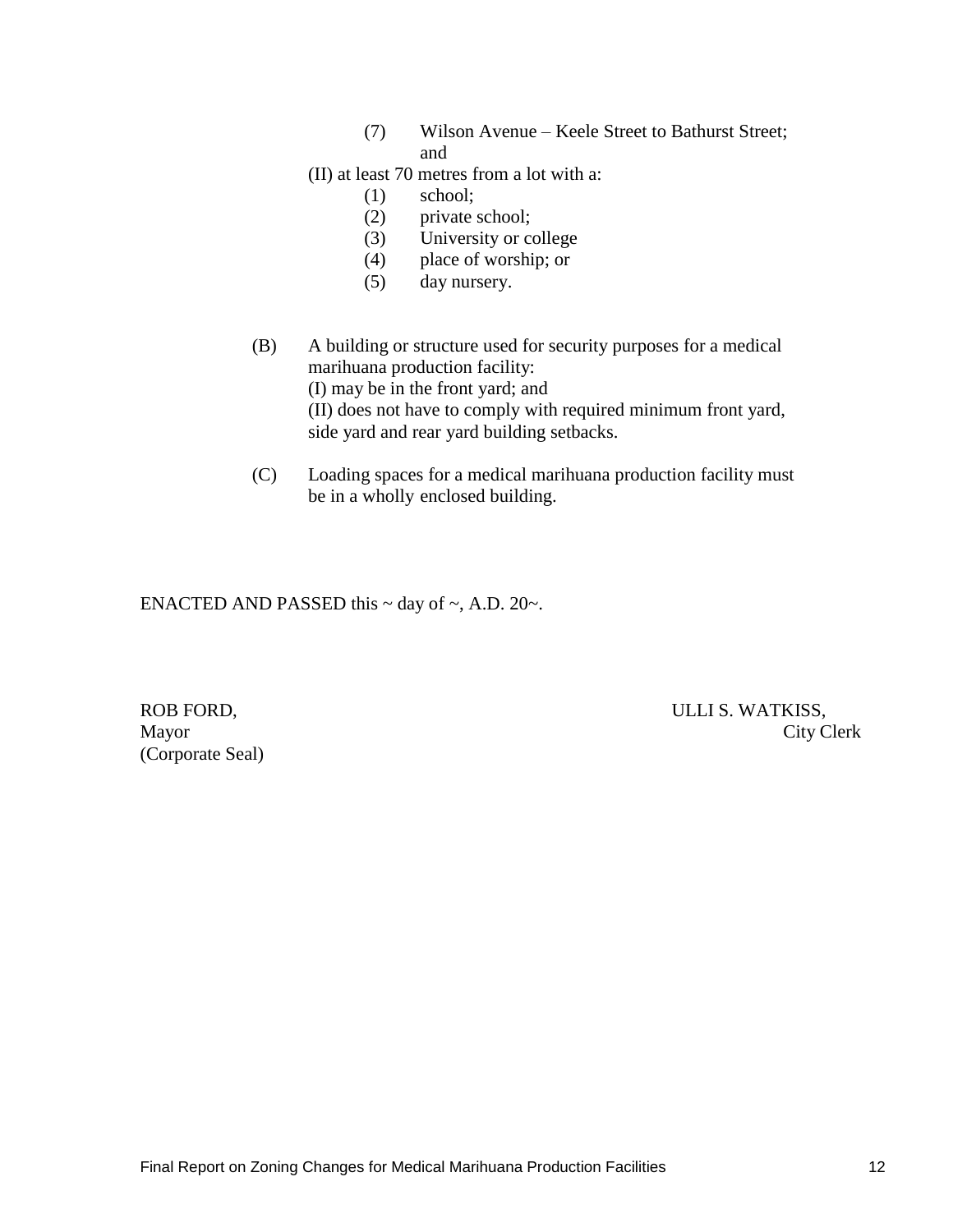- (7) Wilson Avenue Keele Street to Bathurst Street; and
- (II) at least 70 metres from a lot with a:
	- (1) school;
	- (2) private school;
	- (3) University or college
	- (4) place of worship; or
	- (5) day nursery.
- (B) A building or structure used for security purposes for a medical marihuana production facility: (I) may be in the front yard; and (II) does not have to comply with required minimum front yard, side yard and rear yard building setbacks.
- (C) Loading spaces for a medical marihuana production facility must be in a wholly enclosed building.

ENACTED AND PASSED this  $\sim$  day of  $\sim$ , A.D. 20 $\sim$ .

(Corporate Seal)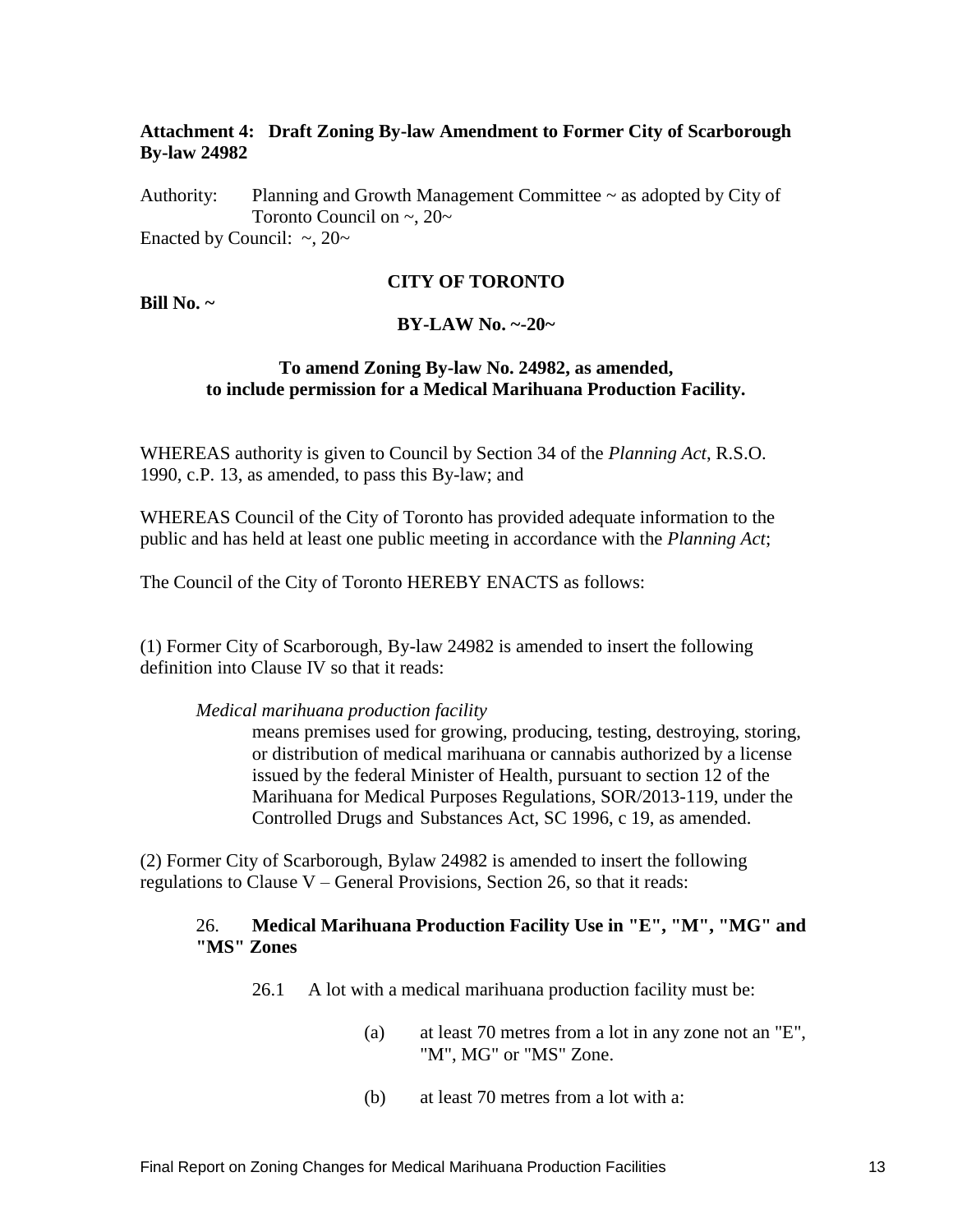## **Attachment 4: Draft Zoning By-law Amendment to Former City of Scarborough By-law 24982**

Authority: Planning and Growth Management Committee ~ as adopted by City of Toronto Council on  $\sim$ , 20 $\sim$ Enacted by Council:  $\sim$ , 20 $\sim$ 

#### **CITY OF TORONTO**

#### **Bill No. ~**

#### **BY-LAW No. ~-20~**

#### **To amend Zoning By-law No. 24982, as amended, to include permission for a Medical Marihuana Production Facility.**

WHEREAS authority is given to Council by Section 34 of the *Planning Act*, R.S.O. 1990, c.P. 13, as amended, to pass this By-law; and

WHEREAS Council of the City of Toronto has provided adequate information to the public and has held at least one public meeting in accordance with the *Planning Act*;

The Council of the City of Toronto HEREBY ENACTS as follows:

(1) Former City of Scarborough, By-law 24982 is amended to insert the following definition into Clause IV so that it reads:

#### *Medical marihuana production facility*

means premises used for growing, producing, testing, destroying, storing, or distribution of medical marihuana or cannabis authorized by a license issued by the federal Minister of Health, pursuant to section 12 of the Marihuana for Medical Purposes Regulations, SOR/2013-119, under the Controlled Drugs and Substances Act, SC 1996, c 19, as amended.

(2) Former City of Scarborough, Bylaw 24982 is amended to insert the following regulations to Clause V – General Provisions, Section 26, so that it reads:

## 26. **Medical Marihuana Production Facility Use in "E", "M", "MG" and "MS" Zones**

26.1 A lot with a medical marihuana production facility must be:

- (a) at least 70 metres from a lot in any zone not an "E", "M", MG" or "MS" Zone.
- (b) at least 70 metres from a lot with a: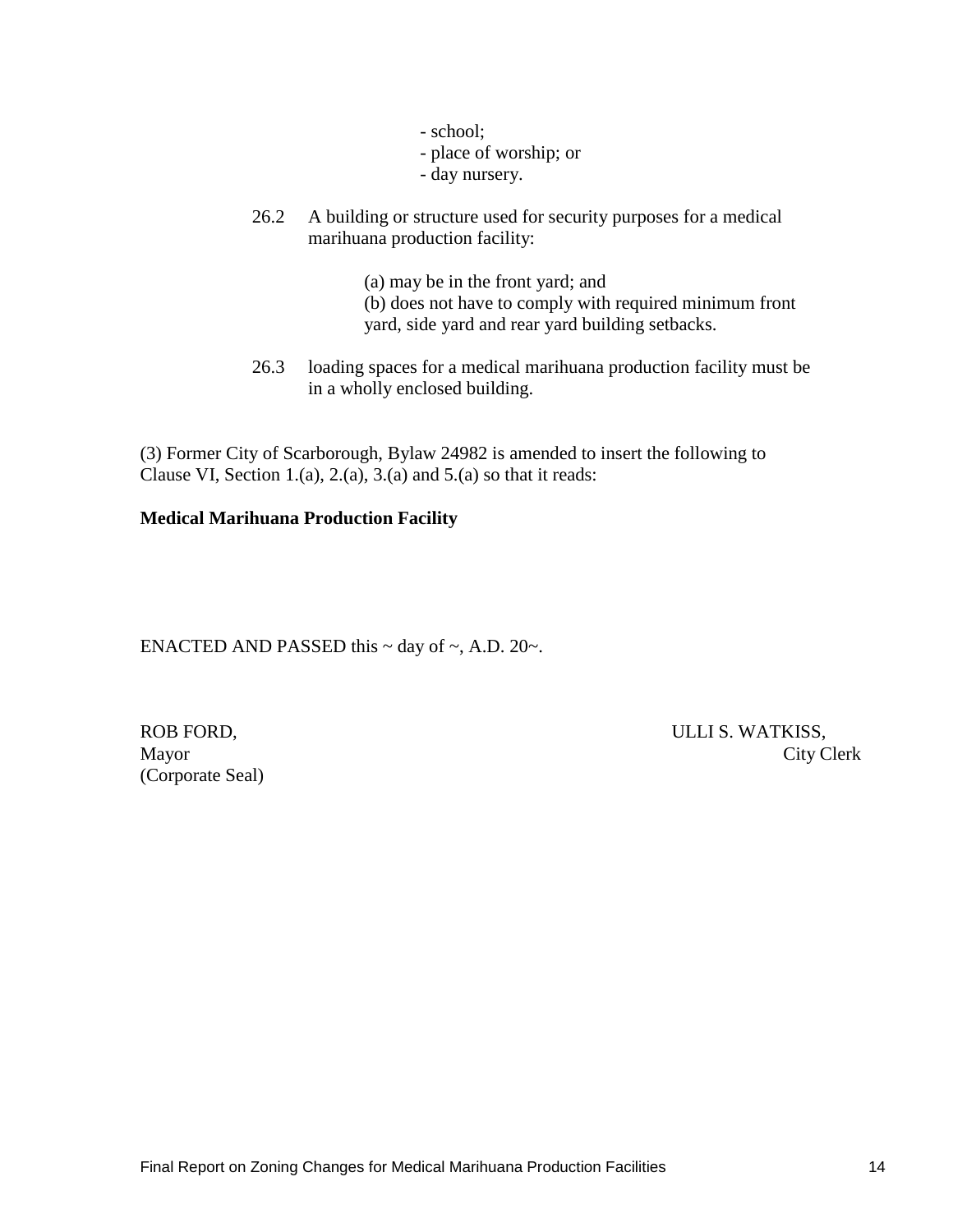- school;
- place of worship; or
- day nursery.
- 26.2 A building or structure used for security purposes for a medical marihuana production facility:

(a) may be in the front yard; and (b) does not have to comply with required minimum front yard, side yard and rear yard building setbacks.

26.3 loading spaces for a medical marihuana production facility must be in a wholly enclosed building.

(3) Former City of Scarborough, Bylaw 24982 is amended to insert the following to Clause VI, Section 1.(a), 2.(a), 3.(a) and 5.(a) so that it reads:

## **Medical Marihuana Production Facility**

ENACTED AND PASSED this  $\sim$  day of  $\sim$ , A.D. 20 $\sim$ .

(Corporate Seal)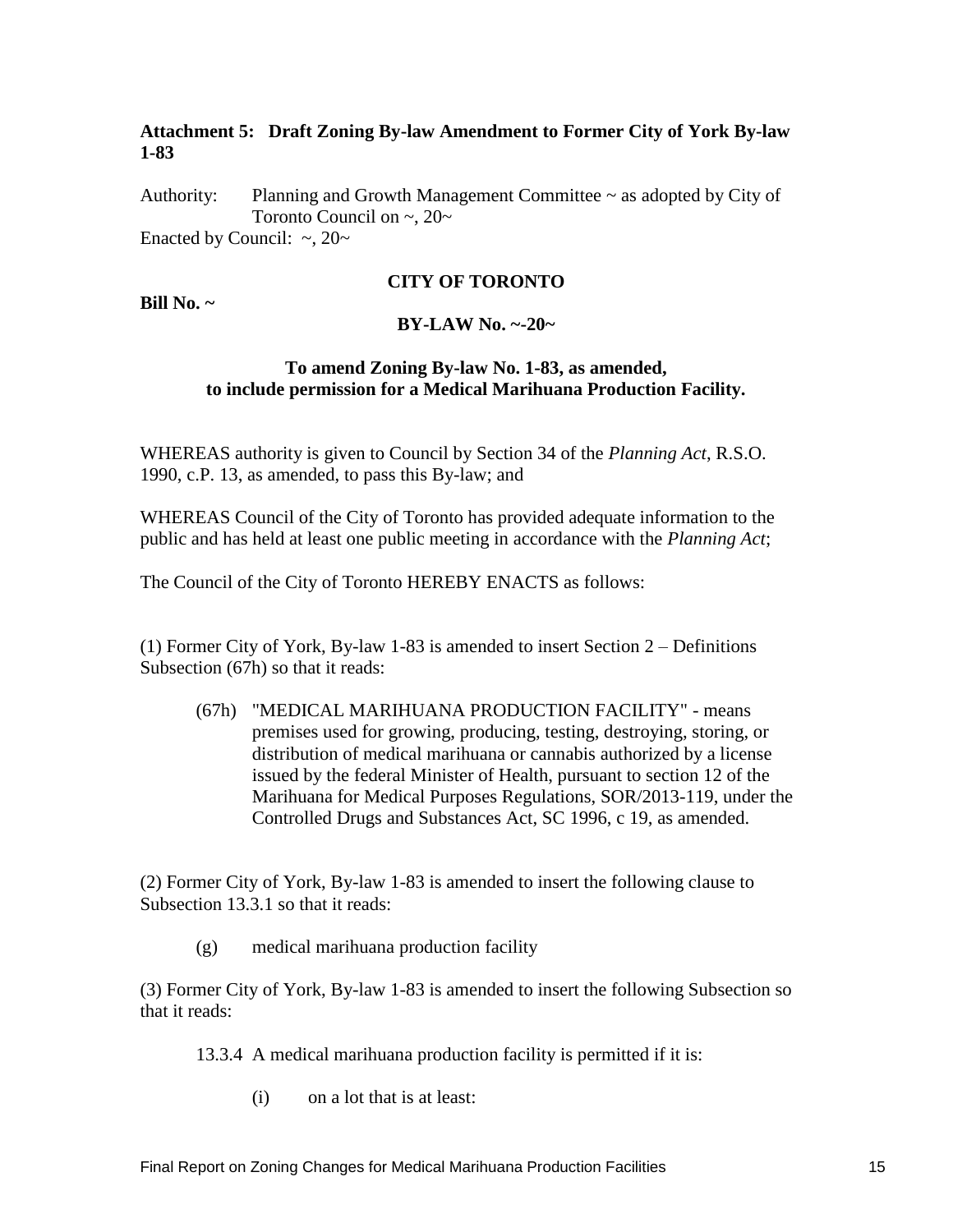# **Attachment 5: Draft Zoning By-law Amendment to Former City of York By-law 1-83**

Authority: Planning and Growth Management Committee  $\sim$  as adopted by City of Toronto Council on  $\sim$ , 20 $\sim$ Enacted by Council:  $\sim$ , 20 $\sim$ 

#### **CITY OF TORONTO**

## **Bill No. ~**

#### **BY-LAW No. ~-20~**

#### **To amend Zoning By-law No. 1-83, as amended, to include permission for a Medical Marihuana Production Facility.**

WHEREAS authority is given to Council by Section 34 of the *Planning Act*, R.S.O. 1990, c.P. 13, as amended, to pass this By-law; and

WHEREAS Council of the City of Toronto has provided adequate information to the public and has held at least one public meeting in accordance with the *Planning Act*;

The Council of the City of Toronto HEREBY ENACTS as follows:

(1) Former City of York, By-law 1-83 is amended to insert Section 2 – Definitions Subsection (67h) so that it reads:

(67h) "MEDICAL MARIHUANA PRODUCTION FACILITY" - means premises used for growing, producing, testing, destroying, storing, or distribution of medical marihuana or cannabis authorized by a license issued by the federal Minister of Health, pursuant to section 12 of the Marihuana for Medical Purposes Regulations, SOR/2013-119, under the Controlled Drugs and Substances Act, SC 1996, c 19, as amended.

(2) Former City of York, By-law 1-83 is amended to insert the following clause to Subsection 13.3.1 so that it reads:

(g) medical marihuana production facility

(3) Former City of York, By-law 1-83 is amended to insert the following Subsection so that it reads:

13.3.4 A medical marihuana production facility is permitted if it is:

(i) on a lot that is at least: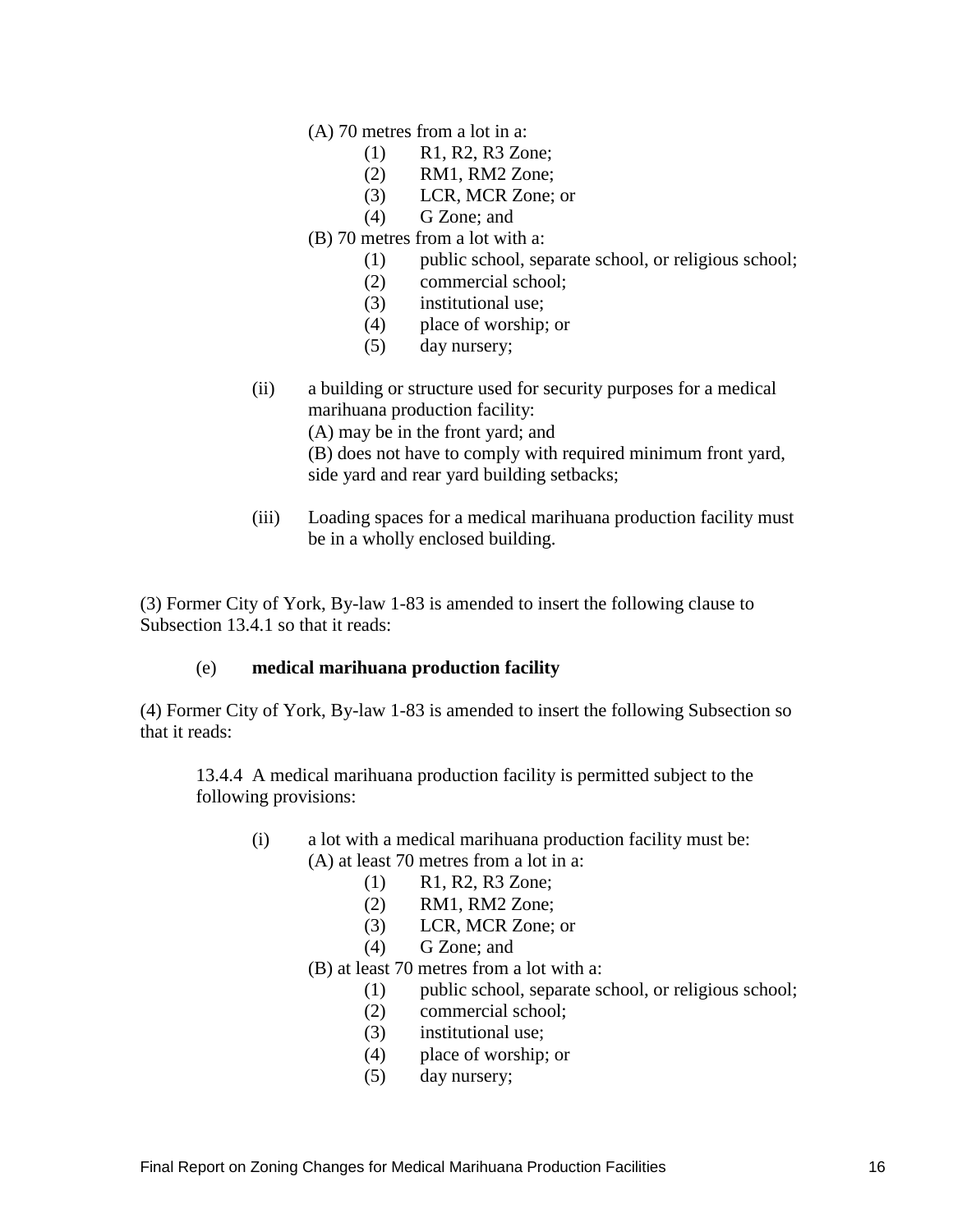(A) 70 metres from a lot in a:

- (1) R1, R2, R3 Zone;
- (2) RM1, RM2 Zone;
- (3) LCR, MCR Zone; or
- (4) G Zone; and
- (B) 70 metres from a lot with a:
	- (1) public school, separate school, or religious school;
	- (2) commercial school;
	- (3) institutional use;
	- (4) place of worship; or
	- (5) day nursery;
- (ii) a building or structure used for security purposes for a medical marihuana production facility:

(A) may be in the front yard; and

(B) does not have to comply with required minimum front yard, side yard and rear yard building setbacks;

(iii) Loading spaces for a medical marihuana production facility must be in a wholly enclosed building.

(3) Former City of York, By-law 1-83 is amended to insert the following clause to Subsection 13.4.1 so that it reads:

#### (e) **medical marihuana production facility**

(4) Former City of York, By-law 1-83 is amended to insert the following Subsection so that it reads:

13.4.4 A medical marihuana production facility is permitted subject to the following provisions:

- (i) a lot with a medical marihuana production facility must be: (A) at least 70 metres from a lot in a:
	- (1) R1, R2, R3 Zone;
	- (2) RM1, RM2 Zone;
	- (3) LCR, MCR Zone; or
	- (4) G Zone; and

(B) at least 70 metres from a lot with a:

- (1) public school, separate school, or religious school;
- (2) commercial school;
- (3) institutional use;
- (4) place of worship; or
- (5) day nursery;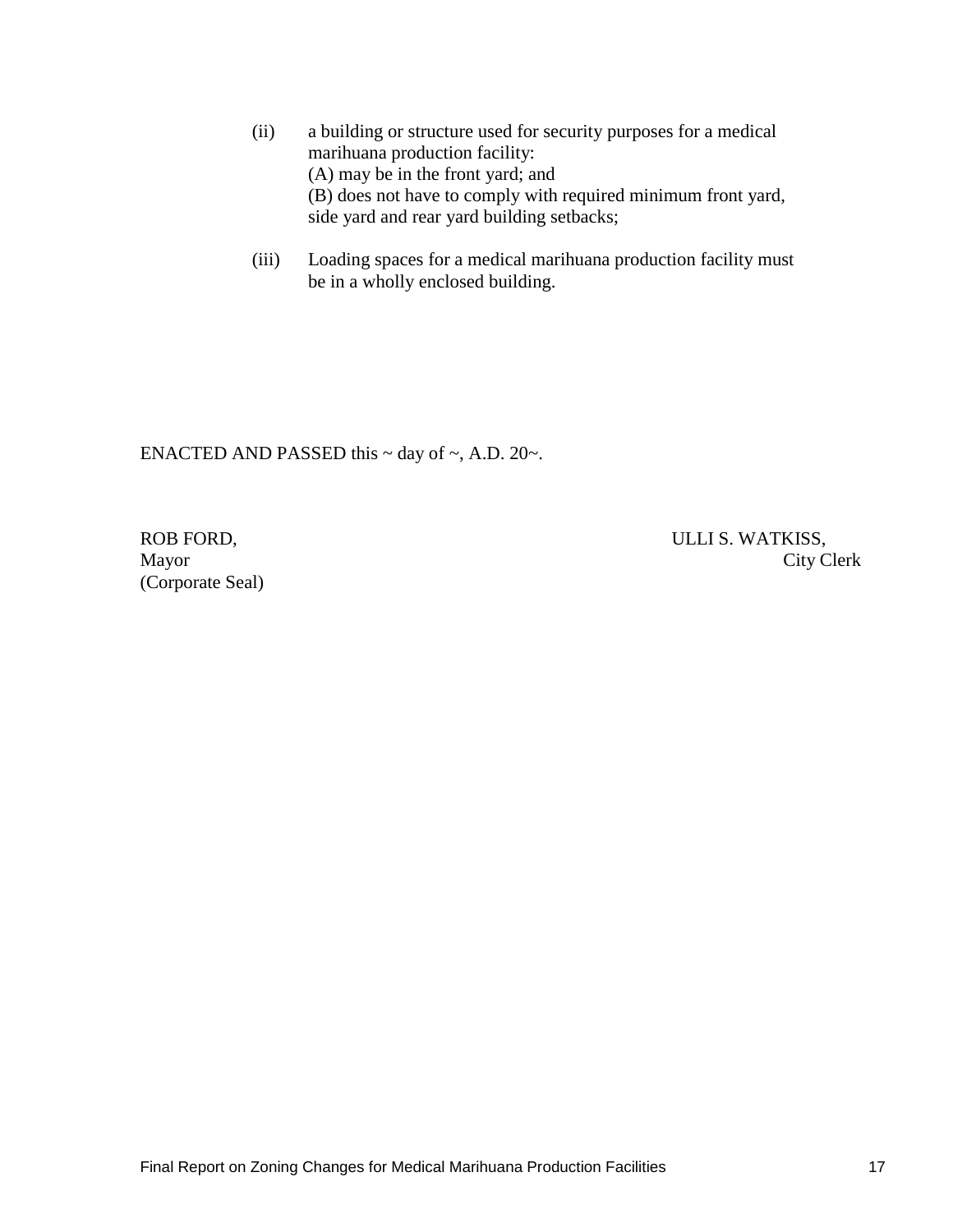- (ii) a building or structure used for security purposes for a medical marihuana production facility: (A) may be in the front yard; and (B) does not have to comply with required minimum front yard, side yard and rear yard building setbacks;
- (iii) Loading spaces for a medical marihuana production facility must be in a wholly enclosed building.

ENACTED AND PASSED this  $\sim$  day of  $\sim$ , A.D. 20 $\sim$ .

(Corporate Seal)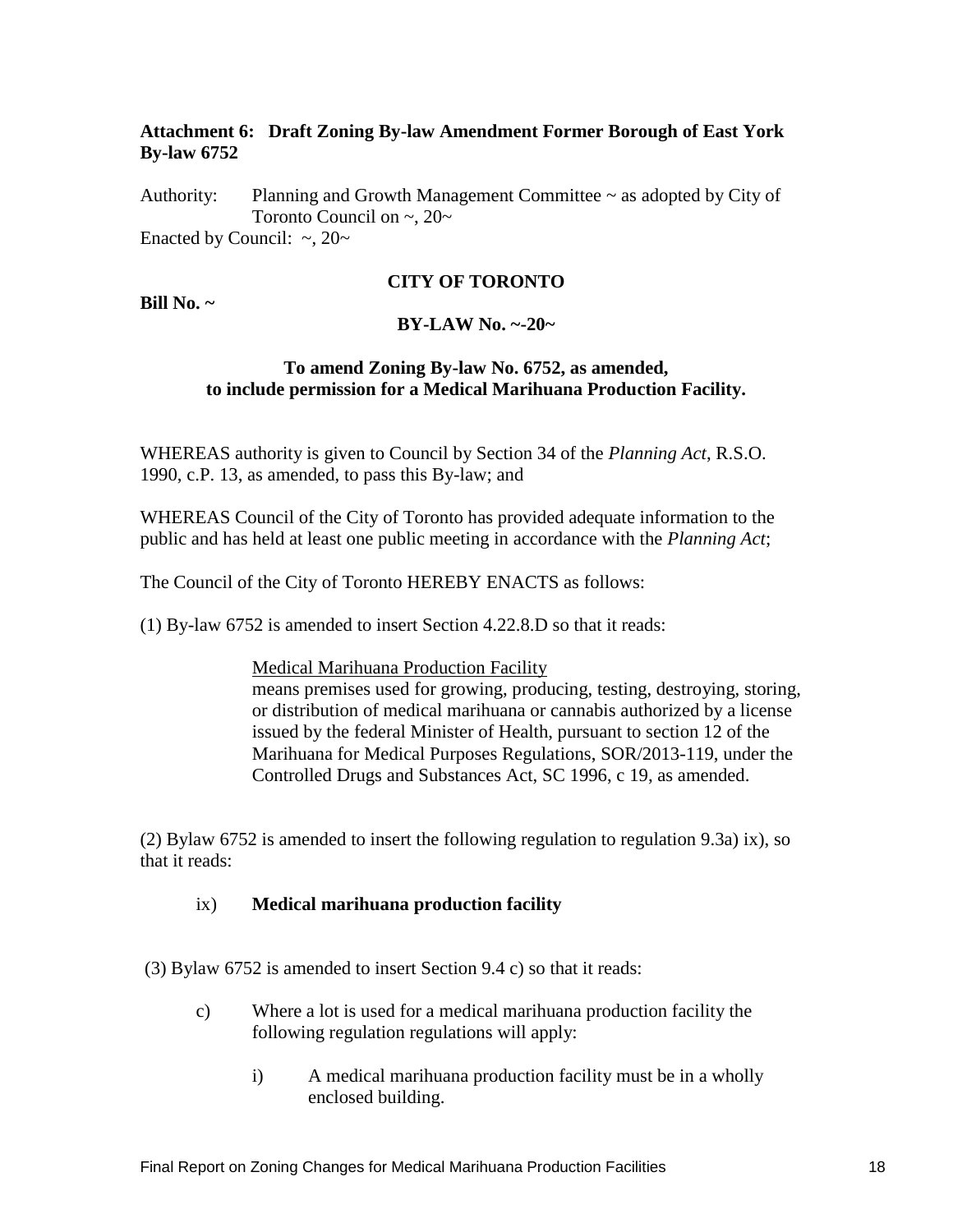# **Attachment 6: Draft Zoning By-law Amendment Former Borough of East York By-law 6752**

Authority: Planning and Growth Management Committee ~ as adopted by City of Toronto Council on  $\sim$ , 20 $\sim$ Enacted by Council:  $\sim$ , 20 $\sim$ 

#### **CITY OF TORONTO**

#### **Bill No. ~**

#### **BY-LAW No. ~-20~**

### **To amend Zoning By-law No. 6752, as amended, to include permission for a Medical Marihuana Production Facility.**

WHEREAS authority is given to Council by Section 34 of the *Planning Act*, R.S.O. 1990, c.P. 13, as amended, to pass this By-law; and

WHEREAS Council of the City of Toronto has provided adequate information to the public and has held at least one public meeting in accordance with the *Planning Act*;

The Council of the City of Toronto HEREBY ENACTS as follows:

(1) By-law 6752 is amended to insert Section 4.22.8.D so that it reads:

#### Medical Marihuana Production Facility

means premises used for growing, producing, testing, destroying, storing, or distribution of medical marihuana or cannabis authorized by a license issued by the federal Minister of Health, pursuant to section 12 of the Marihuana for Medical Purposes Regulations, SOR/2013-119, under the Controlled Drugs and Substances Act, SC 1996, c 19, as amended.

(2) Bylaw 6752 is amended to insert the following regulation to regulation 9.3a) ix), so that it reads:

#### ix) **Medical marihuana production facility**

(3) Bylaw 6752 is amended to insert Section 9.4 c) so that it reads:

- c) Where a lot is used for a medical marihuana production facility the following regulation regulations will apply:
	- i) A medical marihuana production facility must be in a wholly enclosed building.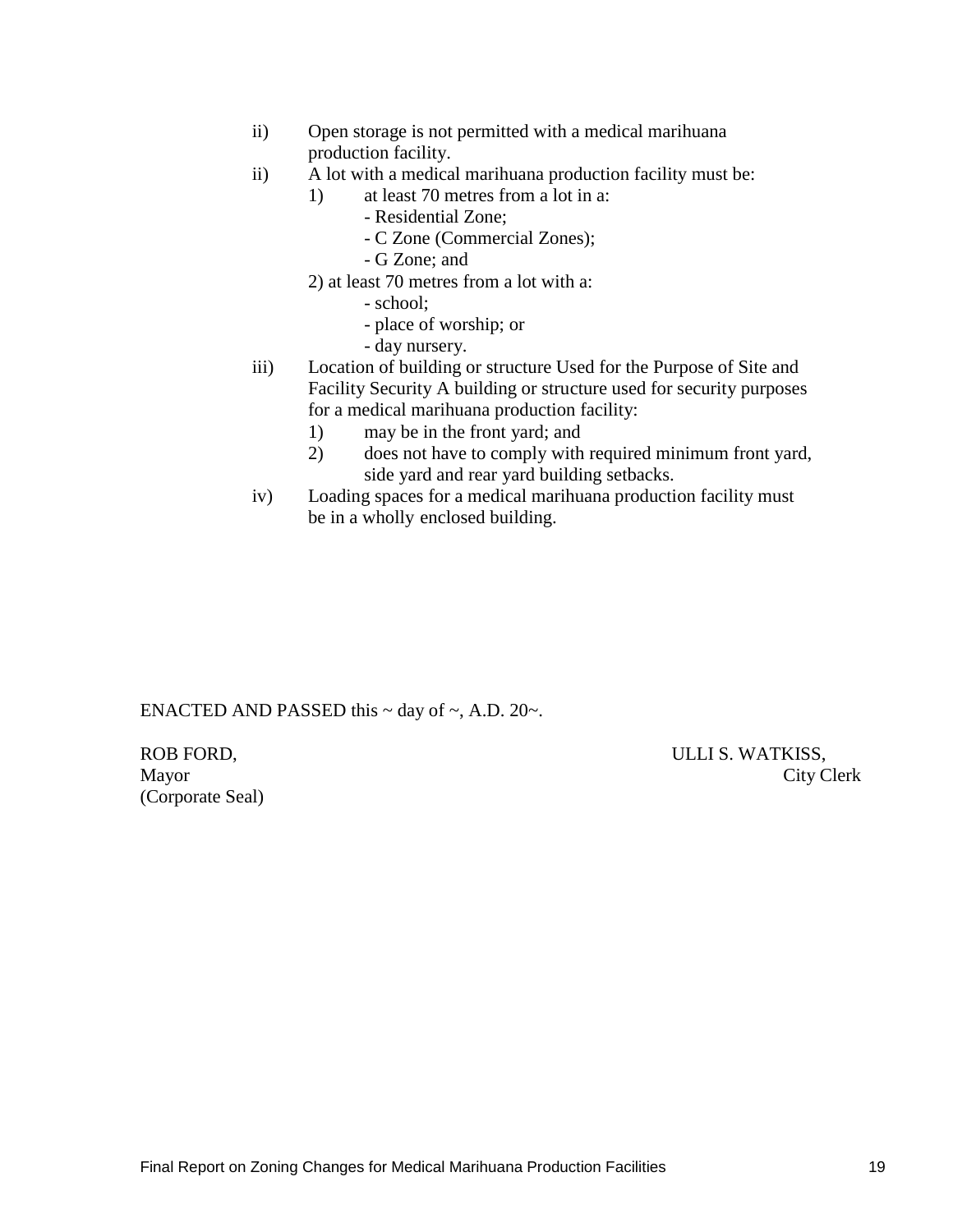- ii) Open storage is not permitted with a medical marihuana production facility.
- ii) A lot with a medical marihuana production facility must be:
	- 1) at least 70 metres from a lot in a:
		- Residential Zone;
		- C Zone (Commercial Zones);
		- G Zone; and
	- 2) at least 70 metres from a lot with a:
		- school;
		- place of worship; or
		- day nursery.
- iii) Location of building or structure Used for the Purpose of Site and Facility Security A building or structure used for security purposes for a medical marihuana production facility:
	- 1) may be in the front yard; and
	- 2) does not have to comply with required minimum front yard, side yard and rear yard building setbacks.
- iv) Loading spaces for a medical marihuana production facility must be in a wholly enclosed building.

#### ENACTED AND PASSED this  $\sim$  day of  $\sim$ , A.D. 20 $\sim$ .

(Corporate Seal)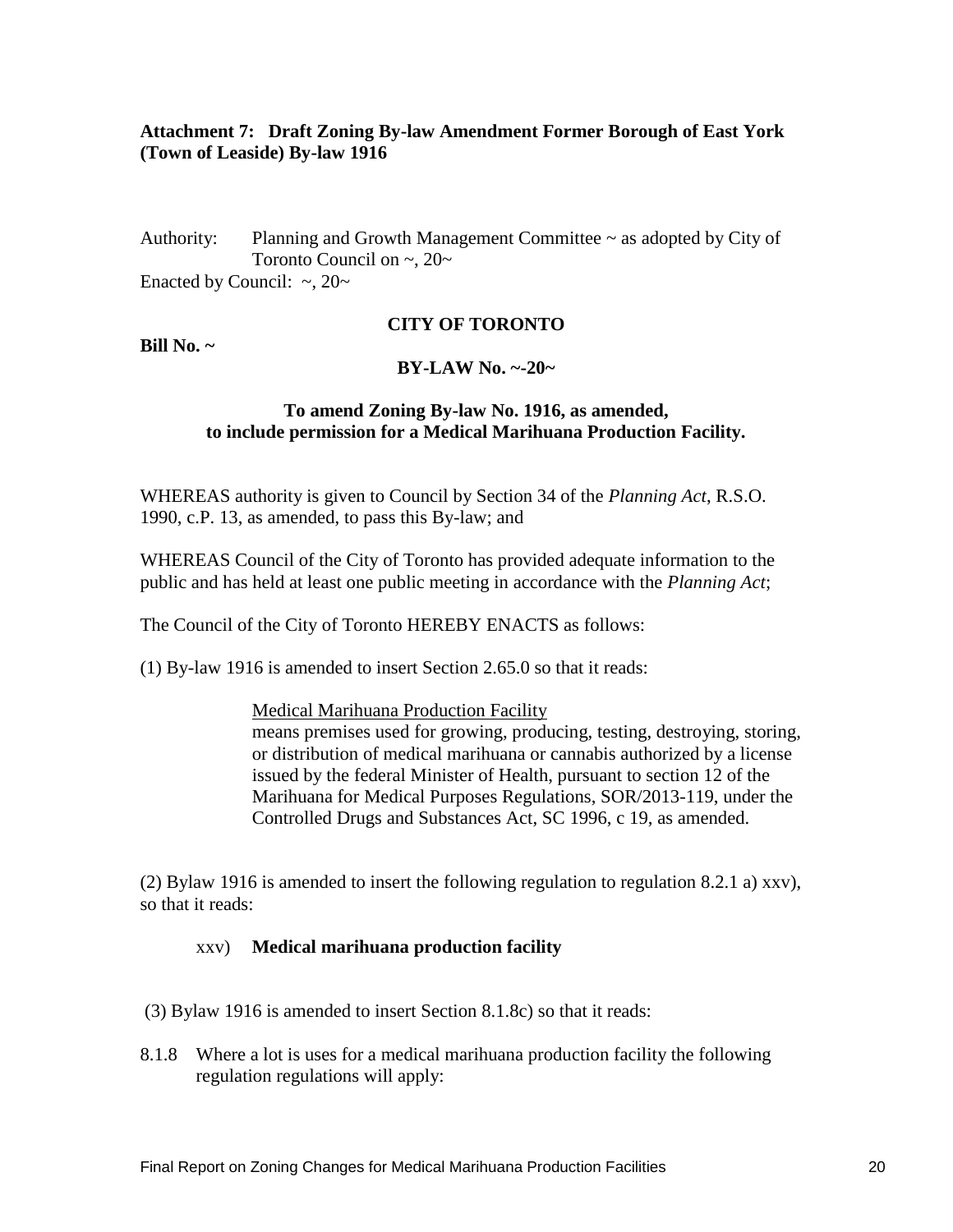# **Attachment 7: Draft Zoning By-law Amendment Former Borough of East York (Town of Leaside) By-law 1916**

Authority: Planning and Growth Management Committee ~ as adopted by City of Toronto Council on  $\sim$ , 20 $\sim$ Enacted by Council:  $\sim$ , 20 $\sim$ 

**Bill No. ~**

#### **CITY OF TORONTO**

#### **BY-LAW No. ~-20~**

### **To amend Zoning By-law No. 1916, as amended, to include permission for a Medical Marihuana Production Facility.**

WHEREAS authority is given to Council by Section 34 of the *Planning Act*, R.S.O. 1990, c.P. 13, as amended, to pass this By-law; and

WHEREAS Council of the City of Toronto has provided adequate information to the public and has held at least one public meeting in accordance with the *Planning Act*;

The Council of the City of Toronto HEREBY ENACTS as follows:

(1) By-law 1916 is amended to insert Section 2.65.0 so that it reads:

#### Medical Marihuana Production Facility

means premises used for growing, producing, testing, destroying, storing, or distribution of medical marihuana or cannabis authorized by a license issued by the federal Minister of Health, pursuant to section 12 of the Marihuana for Medical Purposes Regulations, SOR/2013-119, under the Controlled Drugs and Substances Act, SC 1996, c 19, as amended.

(2) Bylaw 1916 is amended to insert the following regulation to regulation 8.2.1 a) xxv), so that it reads:

#### xxv) **Medical marihuana production facility**

(3) Bylaw 1916 is amended to insert Section 8.1.8c) so that it reads:

8.1.8 Where a lot is uses for a medical marihuana production facility the following regulation regulations will apply: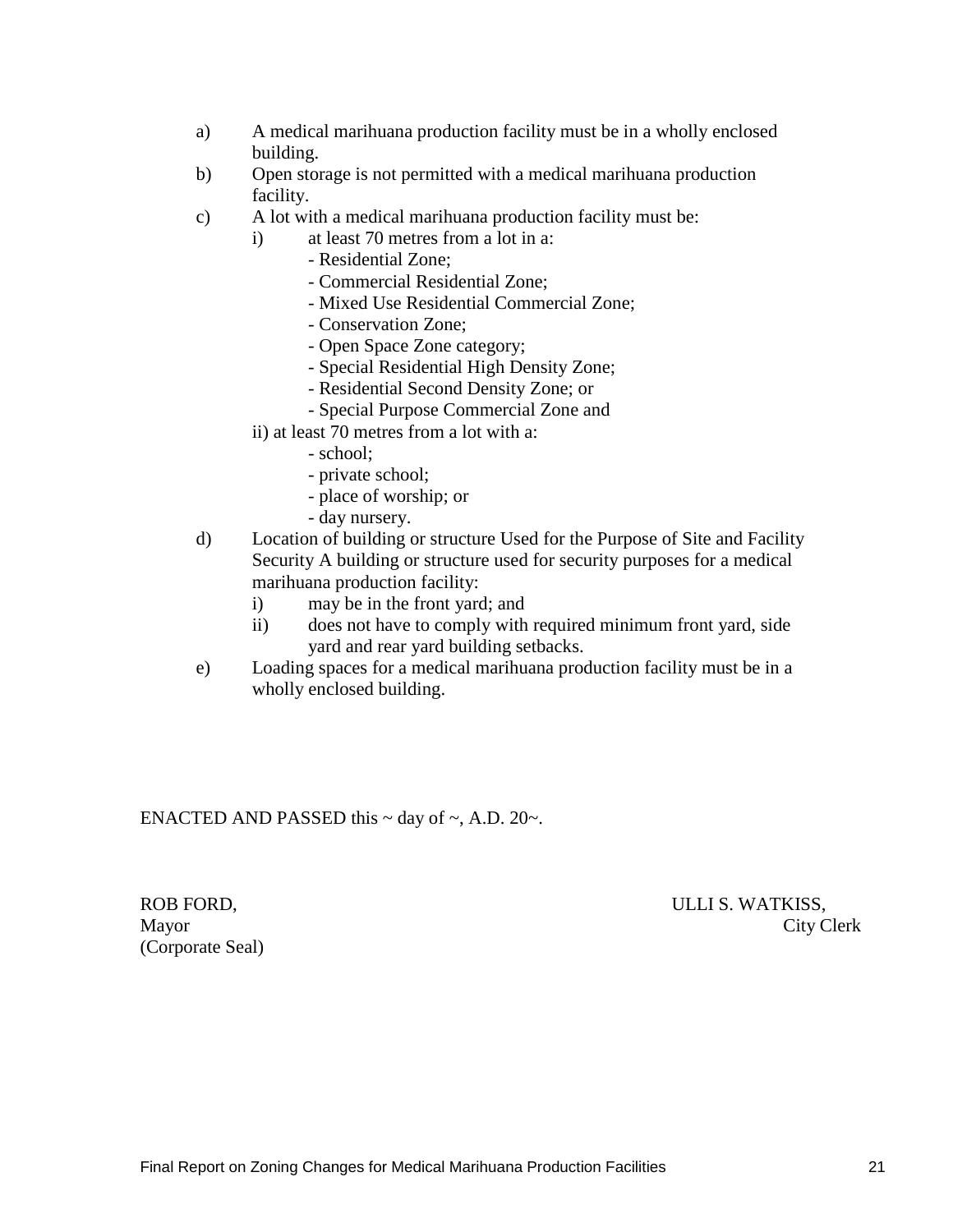- a) A medical marihuana production facility must be in a wholly enclosed building.
- b) Open storage is not permitted with a medical marihuana production facility.
- c) A lot with a medical marihuana production facility must be:
	- i) at least 70 metres from a lot in a:
		- Residential Zone;
		- Commercial Residential Zone;
		- Mixed Use Residential Commercial Zone;
		- Conservation Zone;
		- Open Space Zone category;
		- Special Residential High Density Zone;
		- Residential Second Density Zone; or
		- Special Purpose Commercial Zone and
	- ii) at least 70 metres from a lot with a:
		- school;
		- private school;
		- place of worship; or
		- day nursery.
- d) Location of building or structure Used for the Purpose of Site and Facility Security A building or structure used for security purposes for a medical marihuana production facility:
	- i) may be in the front yard; and
	- ii) does not have to comply with required minimum front yard, side yard and rear yard building setbacks.
- e) Loading spaces for a medical marihuana production facility must be in a wholly enclosed building.

ENACTED AND PASSED this  $\sim$  day of  $\sim$ , A.D. 20 $\sim$ .

(Corporate Seal)

ROB FORD, THE SECOND SECOND SECOND SECOND SECOND SECOND SECOND SECOND SECOND SECOND SECOND SECOND SECOND SECOND SECOND SECOND SECOND SECOND SECOND SECOND SECOND SECOND SECOND SECOND SECOND SECOND SECOND SECOND SECOND SECON Mayor City Clerk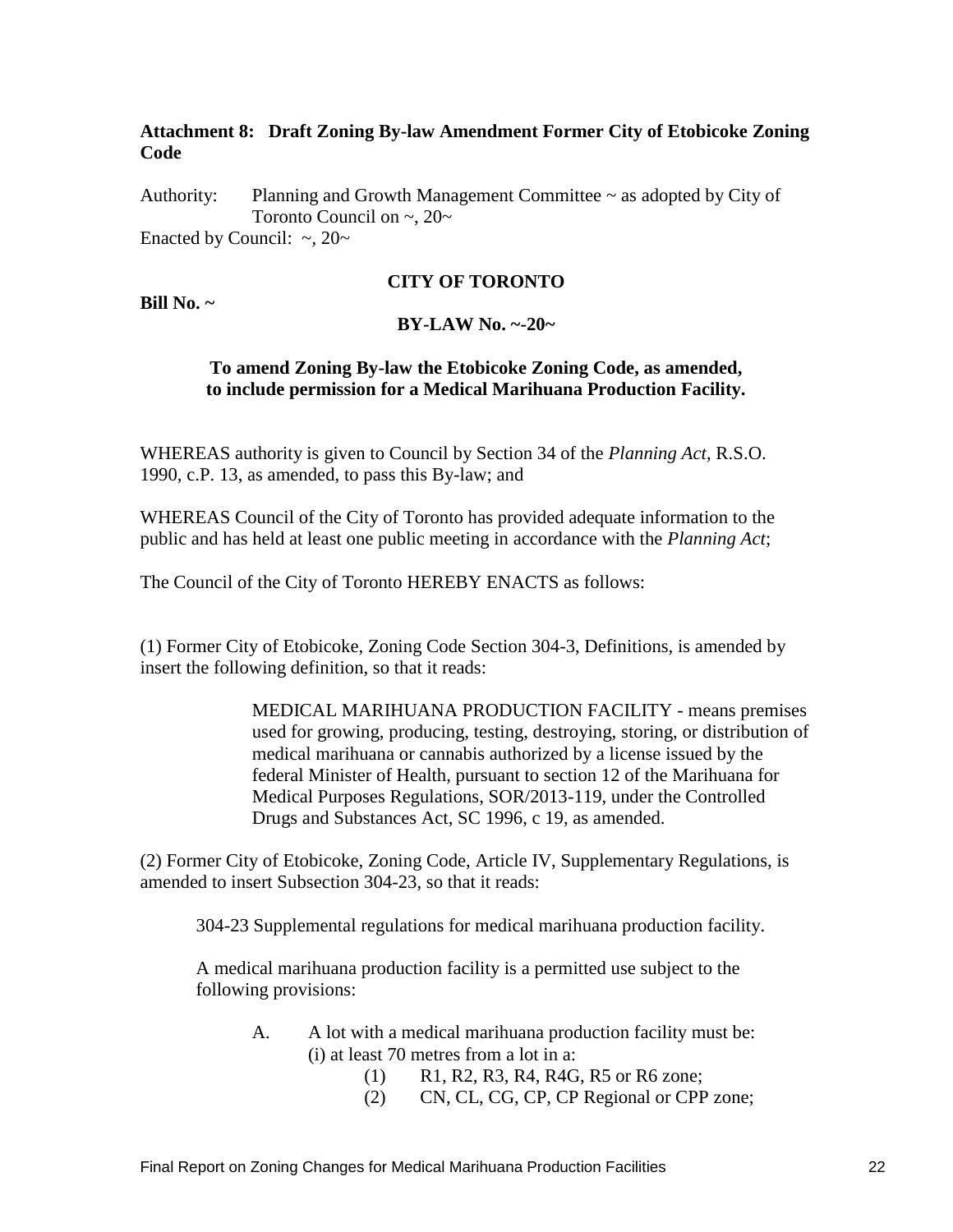# **Attachment 8: Draft Zoning By-law Amendment Former City of Etobicoke Zoning Code**

Authority: Planning and Growth Management Committee ~ as adopted by City of Toronto Council on  $\sim$ , 20 $\sim$ Enacted by Council:  $\sim$ , 20 $\sim$ 

#### **CITY OF TORONTO**

**Bill No. ~**

#### **BY-LAW No. ~-20~**

### **To amend Zoning By-law the Etobicoke Zoning Code, as amended, to include permission for a Medical Marihuana Production Facility.**

WHEREAS authority is given to Council by Section 34 of the *Planning Act*, R.S.O. 1990, c.P. 13, as amended, to pass this By-law; and

WHEREAS Council of the City of Toronto has provided adequate information to the public and has held at least one public meeting in accordance with the *Planning Act*;

The Council of the City of Toronto HEREBY ENACTS as follows:

(1) Former City of Etobicoke, Zoning Code Section 304-3, Definitions, is amended by insert the following definition, so that it reads:

> MEDICAL MARIHUANA PRODUCTION FACILITY - means premises used for growing, producing, testing, destroying, storing, or distribution of medical marihuana or cannabis authorized by a license issued by the federal Minister of Health, pursuant to section 12 of the Marihuana for Medical Purposes Regulations, SOR/2013-119, under the Controlled Drugs and Substances Act, SC 1996, c 19, as amended.

(2) Former City of Etobicoke, Zoning Code, Article IV, Supplementary Regulations, is amended to insert Subsection 304-23, so that it reads:

304-23 Supplemental regulations for medical marihuana production facility.

A medical marihuana production facility is a permitted use subject to the following provisions:

- A. A lot with a medical marihuana production facility must be: (i) at least 70 metres from a lot in a:
	- (1) R1, R2, R3, R4, R4G, R5 or R6 zone;
	- (2) CN, CL, CG, CP, CP Regional or CPP zone;